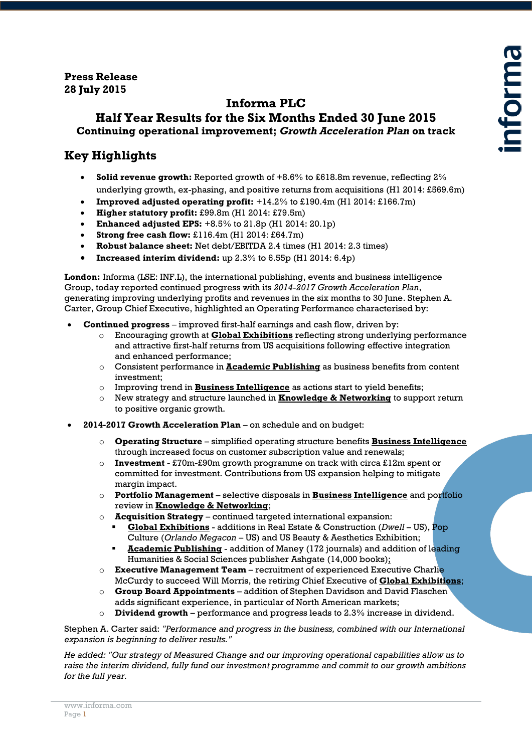#### **Press Release 28 July 2015**

# **Informa PLC**

# **Half Year Results for the Six Months Ended 30 June 2015 Continuing operational improvement;** *Growth Acceleration Plan* **on track**

# **Key Highlights**

- **Solid revenue growth:** Reported growth of +8.6% to £618.8m revenue, reflecting 2% underlying growth, ex-phasing, and positive returns from acquisitions (H1 2014: £569.6m)
- **Improved adjusted operating profit:** +14.2% to £190.4m (H1 2014: £166.7m)
- **Higher statutory profit:** £99.8m (H1 2014: £79.5m)
- **Enhanced adjusted EPS:** +8.5% to 21.8p (H1 2014: 20.1p)
- **Strong free cash flow:** £116.4m (H1 2014: £64.7m)
- **Robust balance sheet:** Net debt/EBITDA 2.4 times (H1 2014: 2.3 times)
- **Increased interim dividend:** up 2.3% to 6.55p (H1 2014: 6.4p)

**London:** Informa (LSE: INF.L), the international publishing, events and business intelligence Group, today reported continued progress with its *2014-2017 Growth Acceleration Plan*, generating improving underlying profits and revenues in the six months to 30 June. Stephen A. Carter, Group Chief Executive, highlighted an Operating Performance characterised by:

- **Continued progress** *–* improved first-half earnings and cash flow, driven by:
	- o Encouraging growth at **Global Exhibitions** reflecting strong underlying performance and attractive first-half returns from US acquisitions following effective integration and enhanced performance;
	- o Consistent performance in **Academic Publishing** as business benefits from content investment;
	- o Improving trend in **Business Intelligence** as actions start to yield benefits;
	- o New strategy and structure launched in **Knowledge & Networking** to support return to positive organic growth.
- **2014-2017 Growth Acceleration Plan** *–* on schedule and on budget:
	- o **Operating Structure**  simplified operating structure benefits **Business Intelligence** through increased focus on customer subscription value and renewals;
	- o **Investment**  £70m-£90m growth programme on track with circa £12m spent or committed for investment. Contributions from US expansion helping to mitigate margin impact.
	- o **Portfolio Management** selective disposals in **Business Intelligence** and portfolio review in **Knowledge & Networking**;
	- o **Acquisition Strategy**  continued targeted international expansion:
		- **Global Exhibitions** additions in Real Estate & Construction (*Dwell* US), Pop Culture (*Orlando Megacon* – US) and US Beauty & Aesthetics Exhibition;
		- **Academic Publishing** addition of Maney (172 journals) and addition of leading Humanities & Social Sciences publisher Ashgate (14,000 books);
	- o **Executive Management Team** recruitment of experienced Executive Charlie McCurdy to succeed Will Morris, the retiring Chief Executive of **Global Exhibitions**;
	- o **Group Board Appointments**  addition of Stephen Davidson and David Flaschen adds significant experience, in particular of North American markets;
	- o **Dividend growth** performance and progress leads to 2.3% increase in dividend.

Stephen A. Carter said: *"Performance and progress in the business, combined with our International expansion is beginning to deliver results."*

*He added: "Our strategy of Measured Change and our improving operational capabilities allow us to raise the interim dividend, fully fund our investment programme and commit to our growth ambitions for the full year.*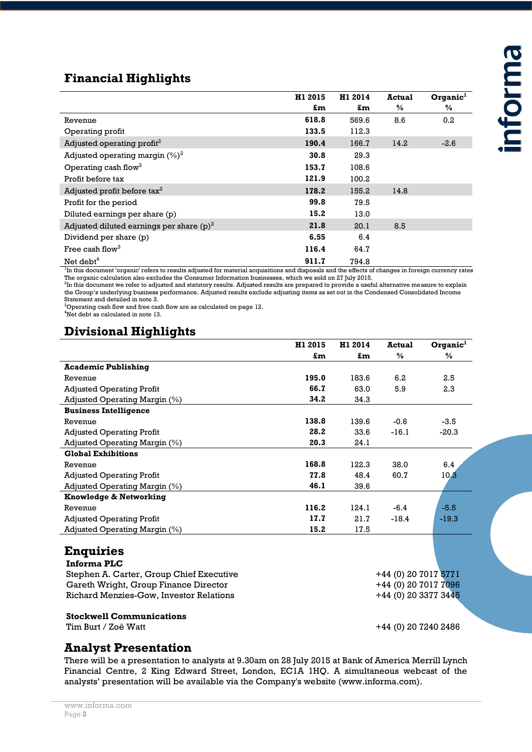# **Financial Highlights**

|                                             | H1 2015 | H1 2014 | <b>Actual</b> | Organic <sup>1</sup> |
|---------------------------------------------|---------|---------|---------------|----------------------|
|                                             | £m      | £m      | $\%$          | $\%$                 |
| Revenue                                     | 618.8   | 569.6   | 8.6           | 0.2                  |
| Operating profit                            | 133.5   | 112.3   |               |                      |
| Adjusted operating profit <sup>2</sup>      | 190.4   | 166.7   | 14.2          | $-2.6$               |
| Adjusted operating margin $(\%)^2$          | 30.8    | 29.3    |               |                      |
| Operating cash flow <sup>3</sup>            | 153.7   | 108.6   |               |                      |
| Profit before tax                           | 121.9   | 100.2   |               |                      |
| Adjusted profit before $\text{tax}^2$       | 178.2   | 155.2   | 14.8          |                      |
| Profit for the period                       | 99.8    | 79.5    |               |                      |
| Diluted earnings per share (p)              | 15.2    | 13.0    |               |                      |
| Adjusted diluted earnings per share $(p)^2$ | 21.8    | 20.1    | 8.5           |                      |
| Dividend per share (p)                      | 6.55    | 6.4     |               |                      |
| Free cash flow <sup>3</sup>                 | 116.4   | 64.7    |               |                      |
| Net debt <sup>4</sup>                       | 911.7   | 794.8   |               |                      |

<sup>1</sup>In this document 'organic' refers to results adjusted for material acquisitions and disposals and the effects of changes in foreign currency rates

The organic calculation also excludes the Consumer Information businesses, which we sold on 27 July 2015.<br><sup>2</sup>In this document we refer to adjusted and statutory results. Adjusted results are prepared to provide a useful al the Group's underlying business performance. Adjusted results exclude adjusting items as set out in the Condensed Consolidated Income Statement and detailed in note 3.

 $3$ Operating cash flow and free cash flow are as calculated on page 12.

<sup>4</sup>Net debt as calculated in note 13.

# **Divisional Highlights**

|                                  | H1 2015 | H1 2014 | <b>Actual</b> | Organic <sup>1</sup> |
|----------------------------------|---------|---------|---------------|----------------------|
|                                  | £m      | £m      | $\frac{0}{0}$ | $\%$                 |
| <b>Academic Publishing</b>       |         |         |               |                      |
| Revenue                          | 195.0   | 183.6   | 6.2           | 2.5                  |
| <b>Adjusted Operating Profit</b> | 66.7    | 63.0    | 5.9           | 2.3                  |
| Adjusted Operating Margin (%)    | 34.2    | 34.3    |               |                      |
| <b>Business Intelligence</b>     |         |         |               |                      |
| Revenue                          | 138.8   | 139.6   | $-0.6$        | $-3.5$               |
| <b>Adjusted Operating Profit</b> | 28.2    | 33.6    | $-16.1$       | $-20.3$              |
| Adjusted Operating Margin (%)    | 20.3    | 24.1    |               |                      |
| <b>Global Exhibitions</b>        |         |         |               |                      |
| Revenue                          | 168.8   | 122.3   | 38.0          | 6.4                  |
| <b>Adjusted Operating Profit</b> | 77.8    | 48.4    | 60.7          | 10.3                 |
| Adjusted Operating Margin (%)    | 46.1    | 39.6    |               |                      |
| Knowledge & Networking           |         |         |               |                      |
| Revenue                          | 116.2   | 124.1   | $-6.4$        | $-5.5$               |
| <b>Adjusted Operating Profit</b> | 17.7    | 21.7    | $-18.4$       | $-19.3$              |
| Adjusted Operating Margin (%)    | 15.2    | 17.5    |               |                      |
|                                  |         |         |               |                      |
| $\bullet$ .<br>$\blacksquare$    |         |         |               |                      |

# **Enquiries**

| Informa PLC                              |
|------------------------------------------|
| Stephen A. Carter, Group Chief Executive |
| Gareth Wright, Group Finance Director    |
| Richard Menzies-Gow, Investor Relations  |

# **Stockwell Communications**

 $+44$  (0) 20 7017 5771 +44 (0) 20 7017 7096  $+44$  (0) 20 3377 3445

#### Tim Burt / Zoë Watt +44 (0) 20 7240 2486

# **Analyst Presentation**

There will be a presentation to analysts at 9.30am on 28 July 2015 at Bank of America Merrill Lynch Financial Centre, 2 King Edward Street, London, EC1A 1HQ. A simultaneous webcast of the analysts' presentation will be available via the Company's website (www.informa.com).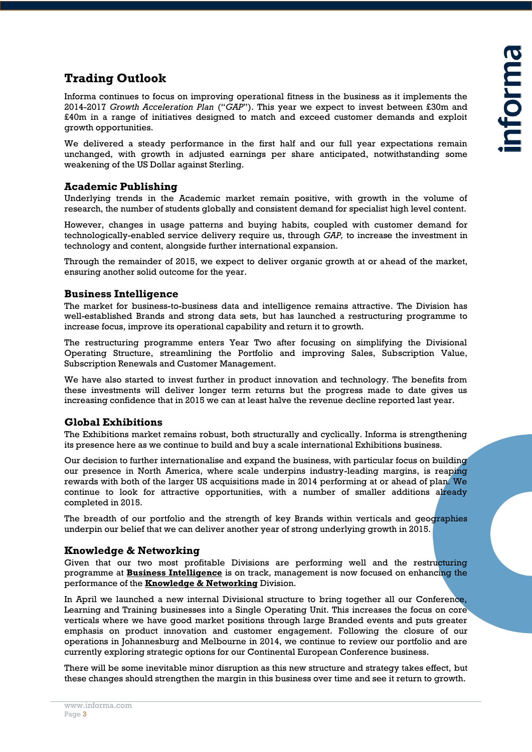# **Trading Outlook**

Informa continues to focus on improving operational fitness in the business as it implements the 2014-2017 *Growth Acceleration Plan* ("*GAP*"). This year we expect to invest between £30m and £40m in a range of initiatives designed to match and exceed customer demands and exploit growth opportunities.

We delivered a steady performance in the first half and our full year expectations remain unchanged, with growth in adjusted earnings per share anticipated, notwithstanding some weakening of the US Dollar against Sterling.

#### **Academic Publishing**

Underlying trends in the Academic market remain positive, with growth in the volume of research, the number of students globally and consistent demand for specialist high level content.

However, changes in usage patterns and buying habits, coupled with customer demand for technologically-enabled service delivery require us, through *GAP,* to increase the investment in technology and content, alongside further international expansion.

Through the remainder of 2015, we expect to deliver organic growth at or ahead of the market, ensuring another solid outcome for the year.

#### **Business Intelligence**

The market for business-to-business data and intelligence remains attractive. The Division has well-established Brands and strong data sets, but has launched a restructuring programme to increase focus, improve its operational capability and return it to growth.

The restructuring programme enters Year Two after focusing on simplifying the Divisional Operating Structure, streamlining the Portfolio and improving Sales, Subscription Value, Subscription Renewals and Customer Management.

We have also started to invest further in product innovation and technology. The benefits from these investments will deliver longer term returns but the progress made to date gives us increasing confidence that in 2015 we can at least halve the revenue decline reported last year.

#### **Global Exhibitions**

The Exhibitions market remains robust, both structurally and cyclically. Informa is strengthening its presence here as we continue to build and buy a scale international Exhibitions business.

Our decision to further internationalise and expand the business, with particular focus on building our presence in North America, where scale underpins industry-leading margins, is reaping rewards with both of the larger US acquisitions made in 2014 performing at or ahead of plan. We continue to look for attractive opportunities, with a number of smaller additions already completed in 2015.

The breadth of our portfolio and the strength of key Brands within verticals and geographies underpin our belief that we can deliver another year of strong underlying growth in 2015.

#### **Knowledge & Networking**

Given that our two most profitable Divisions are performing well and the restructuring programme at **Business Intelligence** is on track, management is now focused on enhancing the performance of the **Knowledge & Networking** Division.

In April we launched a new internal Divisional structure to bring together all our Conference, Learning and Training businesses into a Single Operating Unit. This increases the focus on core verticals where we have good market positions through large Branded events and puts greater emphasis on product innovation and customer engagement. Following the closure of our operations in Johannesburg and Melbourne in 2014, we continue to review our portfolio and are currently exploring strategic options for our Continental European Conference business.

There will be some inevitable minor disruption as this new structure and strategy takes effect, but these changes should strengthen the margin in this business over time and see it return to growth.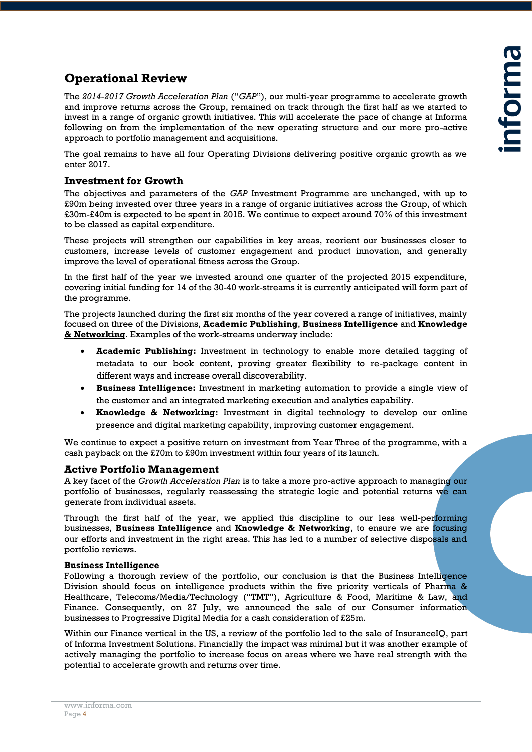# **Operational Review**

The *2014-2017 Growth Acceleration Plan* ("*GAP*"), our multi-year programme to accelerate growth and improve returns across the Group, remained on track through the first half as we started to invest in a range of organic growth initiatives. This will accelerate the pace of change at Informa following on from the implementation of the new operating structure and our more pro-active approach to portfolio management and acquisitions.

The goal remains to have all four Operating Divisions delivering positive organic growth as we enter 2017.

#### **Investment for Growth**

The objectives and parameters of the *GAP* Investment Programme are unchanged, with up to £90m being invested over three years in a range of organic initiatives across the Group, of which £30m-£40m is expected to be spent in 2015. We continue to expect around 70% of this investment to be classed as capital expenditure.

These projects will strengthen our capabilities in key areas, reorient our businesses closer to customers, increase levels of customer engagement and product innovation, and generally improve the level of operational fitness across the Group.

In the first half of the year we invested around one quarter of the projected 2015 expenditure, covering initial funding for 14 of the 30-40 work-streams it is currently anticipated will form part of the programme.

The projects launched during the first six months of the year covered a range of initiatives, mainly focused on three of the Divisions, **Academic Publishing**, **Business Intelligence** and **Knowledge & Networking**. Examples of the work-streams underway include:

- **Academic Publishing:** Investment in technology to enable more detailed tagging of metadata to our book content, proving greater flexibility to re-package content in different ways and increase overall discoverability.
- **Business Intelligence:** Investment in marketing automation to provide a single view of the customer and an integrated marketing execution and analytics capability.
- **Knowledge & Networking:** Investment in digital technology to develop our online presence and digital marketing capability, improving customer engagement.

We continue to expect a positive return on investment from Year Three of the programme, with a cash payback on the £70m to £90m investment within four years of its launch.

#### **Active Portfolio Management**

A key facet of the *Growth Acceleration Plan* is to take a more pro-active approach to managing our portfolio of businesses, regularly reassessing the strategic logic and potential returns we can generate from individual assets.

Through the first half of the year, we applied this discipline to our less well-performing businesses, **Business Intelligence** and **Knowledge & Networking**, to ensure we are focusing our efforts and investment in the right areas. This has led to a number of selective disposals and portfolio reviews.

#### **Business Intelligence**

Following a thorough review of the portfolio, our conclusion is that the Business Intelligence Division should focus on intelligence products within the five priority verticals of Pharma & Healthcare, Telecoms/Media/Technology ("TMT"), Agriculture & Food, Maritime & Law, and Finance. Consequently, on 27 July, we announced the sale of our Consumer information businesses to Progressive Digital Media for a cash consideration of £25m.

Within our Finance vertical in the US, a review of the portfolio led to the sale of InsuranceIQ, part of Informa Investment Solutions. Financially the impact was minimal but it was another example of actively managing the portfolio to increase focus on areas where we have real strength with the potential to accelerate growth and returns over time.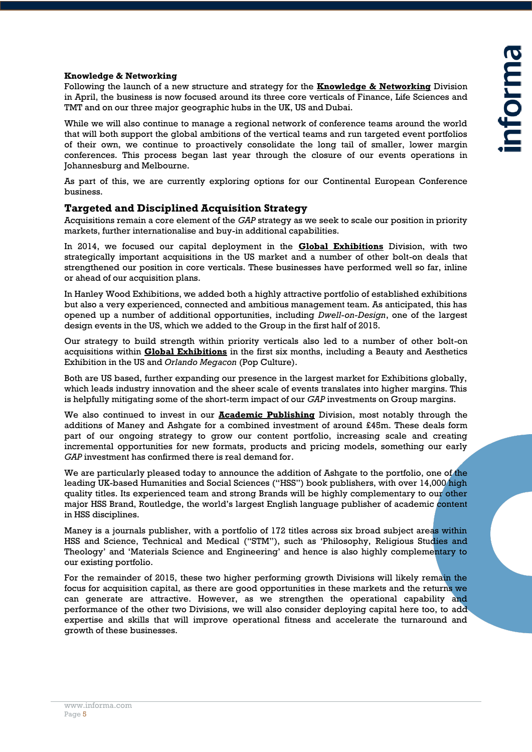#### **Knowledge & Networking**

Following the launch of a new structure and strategy for the **Knowledge & Networking** Division in April, the business is now focused around its three core verticals of Finance, Life Sciences and TMT and on our three major geographic hubs in the UK, US and Dubai.

While we will also continue to manage a regional network of conference teams around the world that will both support the global ambitions of the vertical teams and run targeted event portfolios of their own, we continue to proactively consolidate the long tail of smaller, lower margin conferences. This process began last year through the closure of our events operations in Johannesburg and Melbourne.

As part of this, we are currently exploring options for our Continental European Conference business.

#### **Targeted and Disciplined Acquisition Strategy**

Acquisitions remain a core element of the *GAP* strategy as we seek to scale our position in priority markets, further internationalise and buy-in additional capabilities.

In 2014, we focused our capital deployment in the **Global Exhibitions** Division, with two strategically important acquisitions in the US market and a number of other bolt-on deals that strengthened our position in core verticals. These businesses have performed well so far, inline or ahead of our acquisition plans.

In Hanley Wood Exhibitions, we added both a highly attractive portfolio of established exhibitions but also a very experienced, connected and ambitious management team. As anticipated, this has opened up a number of additional opportunities, including *Dwell-on-Design*, one of the largest design events in the US, which we added to the Group in the first half of 2015.

Our strategy to build strength within priority verticals also led to a number of other bolt-on acquisitions within **Global Exhibitions** in the first six months, including a Beauty and Aesthetics Exhibition in the US and *Orlando Megacon* (Pop Culture).

Both are US based, further expanding our presence in the largest market for Exhibitions globally, which leads industry innovation and the sheer scale of events translates into higher margins. This is helpfully mitigating some of the short-term impact of our *GAP* investments on Group margins.

We also continued to invest in our **Academic Publishing** Division, most notably through the additions of Maney and Ashgate for a combined investment of around £45m. These deals form part of our ongoing strategy to grow our content portfolio, increasing scale and creating incremental opportunities for new formats, products and pricing models, something our early *GAP* investment has confirmed there is real demand for.

We are particularly pleased today to announce the addition of Ashgate to the portfolio, one of the leading UK-based Humanities and Social Sciences ("HSS") book publishers, with over 14,000 high quality titles. Its experienced team and strong Brands will be highly complementary to our other major HSS Brand, Routledge, the world's largest English language publisher of academic content in HSS disciplines.

Maney is a journals publisher, with a portfolio of 172 titles across six broad subject areas within HSS and Science, Technical and Medical ("STM"), such as 'Philosophy, Religious Studies and Theology' and 'Materials Science and Engineering' and hence is also highly complementary to our existing portfolio.

For the remainder of 2015, these two higher performing growth Divisions will likely remain the focus for acquisition capital, as there are good opportunities in these markets and the returns we can generate are attractive. However, as we strengthen the operational capability and performance of the other two Divisions, we will also consider deploying capital here too, to add expertise and skills that will improve operational fitness and accelerate the turnaround and growth of these businesses.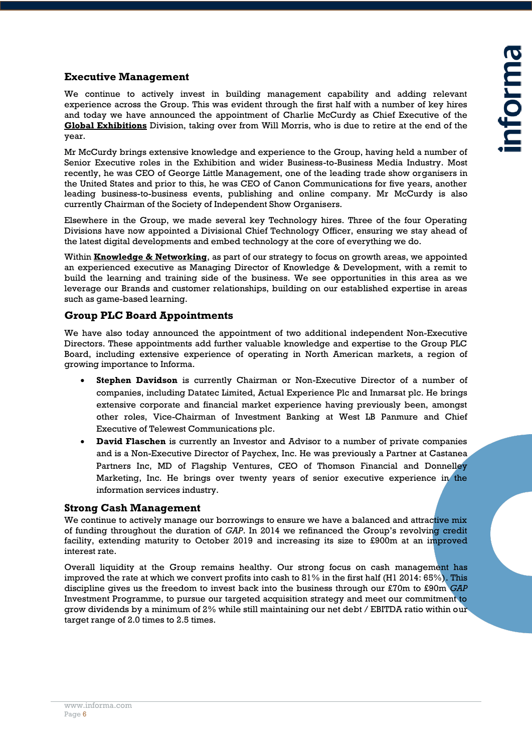#### **Executive Management**

We continue to actively invest in building management capability and adding relevant experience across the Group. This was evident through the first half with a number of key hires and today we have announced the appointment of Charlie McCurdy as Chief Executive of the **Global Exhibitions** Division, taking over from Will Morris, who is due to retire at the end of the year.

Mr McCurdy brings extensive knowledge and experience to the Group, having held a number of Senior Executive roles in the Exhibition and wider Business-to-Business Media Industry. Most recently, he was CEO of George Little Management, one of the leading trade show organisers in the United States and prior to this, he was CEO of Canon Communications for five years, another leading business-to-business events, publishing and online company. Mr McCurdy is also currently Chairman of the Society of Independent Show Organisers.

Elsewhere in the Group, we made several key Technology hires. Three of the four Operating Divisions have now appointed a Divisional Chief Technology Officer, ensuring we stay ahead of the latest digital developments and embed technology at the core of everything we do.

Within **Knowledge & Networking**, as part of our strategy to focus on growth areas, we appointed an experienced executive as Managing Director of Knowledge & Development, with a remit to build the learning and training side of the business. We see opportunities in this area as we leverage our Brands and customer relationships, building on our established expertise in areas such as game-based learning.

#### **Group PLC Board Appointments**

We have also today announced the appointment of two additional independent Non-Executive Directors. These appointments add further valuable knowledge and expertise to the Group PLC Board, including extensive experience of operating in North American markets, a region of growing importance to Informa.

- **Stephen Davidson** is currently Chairman or Non-Executive Director of a number of companies, including Datatec Limited, Actual Experience Plc and Inmarsat plc. He brings extensive corporate and financial market experience having previously been, amongst other roles, Vice-Chairman of Investment Banking at West LB Panmure and Chief Executive of Telewest Communications plc.
- **David Flaschen** is currently an Investor and Advisor to a number of private companies and is a Non-Executive Director of Paychex, Inc. He was previously a Partner at Castanea Partners Inc, MD of Flagship Ventures, CEO of Thomson Financial and Donnelley Marketing, Inc. He brings over twenty years of senior executive experience in the information services industry.

#### **Strong Cash Management**

We continue to actively manage our borrowings to ensure we have a balanced and attractive mix of funding throughout the duration of *GAP*. In 2014 we refinanced the Group's revolving credit facility, extending maturity to October 2019 and increasing its size to £900m at an improved interest rate.

Overall liquidity at the Group remains healthy. Our strong focus on cash management has improved the rate at which we convert profits into cash to 81% in the first half (H1 2014: 65%). This discipline gives us the freedom to invest back into the business through our £70m to £90m *GAP* Investment Programme, to pursue our targeted acquisition strategy and meet our commitment to grow dividends by a minimum of 2% while still maintaining our net debt / EBITDA ratio within our target range of 2.0 times to 2.5 times.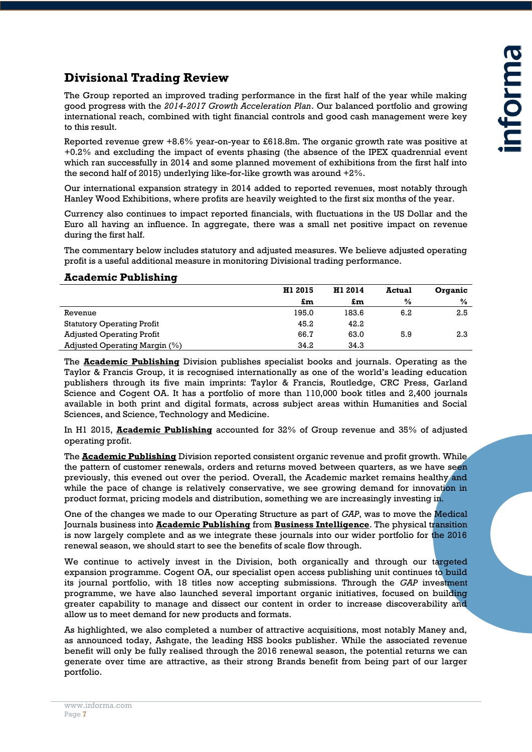# **Divisional Trading Review**

The Group reported an improved trading performance in the first half of the year while making good progress with the *2014-2017 Growth Acceleration Plan*. Our balanced portfolio and growing international reach, combined with tight financial controls and good cash management were key to this result.

Reported revenue grew +8.6% year-on-year to £618.8m. The organic growth rate was positive at +0.2% and excluding the impact of events phasing (the absence of the IPEX quadrennial event which ran successfully in 2014 and some planned movement of exhibitions from the first half into the second half of 2015) underlying like-for-like growth was around +2%.

Our international expansion strategy in 2014 added to reported revenues, most notably through Hanley Wood Exhibitions, where profits are heavily weighted to the first six months of the year.

Currency also continues to impact reported financials, with fluctuations in the US Dollar and the Euro all having an influence. In aggregate, there was a small net positive impact on revenue during the first half.

The commentary below includes statutory and adjusted measures. We believe adjusted operating profit is a useful additional measure in monitoring Divisional trading performance.

#### **Academic Publishing**

|                                   | H1 2015 | H1 2014 | <b>Actual</b> | Organic |
|-----------------------------------|---------|---------|---------------|---------|
|                                   | £m      | £m      | $\frac{0}{0}$ | $\%$    |
| Revenue                           | 195.0   | 183.6   | 6.2           | 2.5     |
| <b>Statutory Operating Profit</b> | 45.2    | 42.2    |               |         |
| <b>Adjusted Operating Profit</b>  | 66.7    | 63.0    | 5.9           | 2.3     |
| Adjusted Operating Margin (%)     | 34.2    | 34.3    |               |         |

The **Academic Publishing** Division publishes specialist books and journals. Operating as the Taylor & Francis Group, it is recognised internationally as one of the world's leading education publishers through its five main imprints: Taylor & Francis, Routledge, CRC Press, Garland Science and Cogent OA. It has a portfolio of more than 110,000 book titles and 2,400 journals available in both print and digital formats, across subject areas within Humanities and Social Sciences, and Science, Technology and Medicine.

In H1 2015, **Academic Publishing** accounted for 32% of Group revenue and 35% of adjusted operating profit.

The **Academic Publishing** Division reported consistent organic revenue and profit growth. While the pattern of customer renewals, orders and returns moved between quarters, as we have seen previously, this evened out over the period. Overall, the Academic market remains healthy and while the pace of change is relatively conservative, we see growing demand for innovation in product format, pricing models and distribution, something we are increasingly investing in.

One of the changes we made to our Operating Structure as part of *GAP*, was to move the Medical Journals business into **Academic Publishing** from **Business Intelligence**. The physical transition is now largely complete and as we integrate these journals into our wider portfolio for the 2016 renewal season, we should start to see the benefits of scale flow through.

We continue to actively invest in the Division, both organically and through our targeted expansion programme. Cogent OA, our specialist open access publishing unit continues to build its journal portfolio, with 18 titles now accepting submissions. Through the *GAP* investment programme, we have also launched several important organic initiatives, focused on building greater capability to manage and dissect our content in order to increase discoverability and allow us to meet demand for new products and formats.

As highlighted, we also completed a number of attractive acquisitions, most notably Maney and, as announced today, Ashgate, the leading HSS books publisher. While the associated revenue benefit will only be fully realised through the 2016 renewal season, the potential returns we can generate over time are attractive, as their strong Brands benefit from being part of our larger portfolio.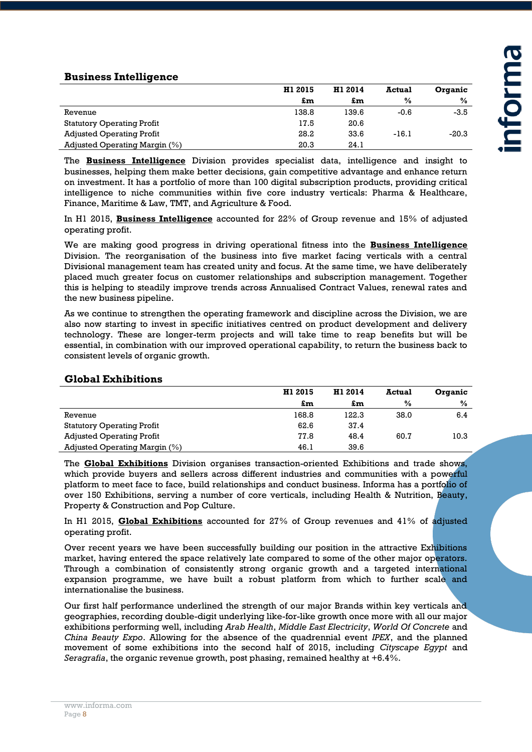#### **Business Intelligence**

|                                   | H1 2015 | H1 2014 | <b>Actual</b> | <b>Organic</b> |
|-----------------------------------|---------|---------|---------------|----------------|
|                                   | £m      | £m      | $\frac{0}{0}$ | %              |
| Revenue                           | 138.8   | 139.6   | $-0.6$        | -3.5           |
| <b>Statutory Operating Profit</b> | 17.5    | 20.6    |               |                |
| <b>Adjusted Operating Profit</b>  | 28.2    | 33.6    | $-16.1$       | $-20.3$        |
| Adjusted Operating Margin (%)     | 20.3    | 24.1    |               |                |

The **Business Intelligence** Division provides specialist data, intelligence and insight to businesses, helping them make better decisions, gain competitive advantage and enhance return on investment. It has a portfolio of more than 100 digital subscription products, providing critical intelligence to niche communities within five core industry verticals: Pharma & Healthcare, Finance, Maritime & Law, TMT, and Agriculture & Food.

In H1 2015, **Business Intelligence** accounted for 22% of Group revenue and 15% of adjusted operating profit.

We are making good progress in driving operational fitness into the **Business Intelligence** Division. The reorganisation of the business into five market facing verticals with a central Divisional management team has created unity and focus. At the same time, we have deliberately placed much greater focus on customer relationships and subscription management. Together this is helping to steadily improve trends across Annualised Contract Values, renewal rates and the new business pipeline.

As we continue to strengthen the operating framework and discipline across the Division, we are also now starting to invest in specific initiatives centred on product development and delivery technology. These are longer-term projects and will take time to reap benefits but will be essential, in combination with our improved operational capability, to return the business back to consistent levels of organic growth.

| <b>OIODAI LAILDILUUIS</b>         |         |         |               |         |
|-----------------------------------|---------|---------|---------------|---------|
|                                   | H1 2015 | H1 2014 | <b>Actual</b> | Organic |
|                                   | £m      | £m      | $\frac{0}{0}$ | %       |
| Revenue                           | 168.8   | 122.3   | 38.0          | 6.4     |
| <b>Statutory Operating Profit</b> | 62.6    | 37.4    |               |         |
| <b>Adjusted Operating Profit</b>  | 77.8    | 48.4    | 60.7          | 10.3    |
| Adjusted Operating Margin $(\%)$  | 46.1    | 39.6    |               |         |

#### **Global Exhibitions**

The **Global Exhibitions** Division organises transaction-oriented Exhibitions and trade shows, which provide buyers and sellers across different industries and communities with a powerful platform to meet face to face, build relationships and conduct business. Informa has a portfolio of over 150 Exhibitions, serving a number of core verticals, including Health & Nutrition, Beauty, Property & Construction and Pop Culture.

In H1 2015, **Global Exhibitions** accounted for 27% of Group revenues and 41% of adjusted operating profit.

Over recent years we have been successfully building our position in the attractive Exhibitions market, having entered the space relatively late compared to some of the other major operators. Through a combination of consistently strong organic growth and a targeted international expansion programme, we have built a robust platform from which to further scale and internationalise the business.

Our first half performance underlined the strength of our major Brands within key verticals and geographies, recording double-digit underlying like-for-like growth once more with all our major exhibitions performing well, including *Arab Health*, *Middle East Electricity*, *World Of Concrete* and *China Beauty Expo*. Allowing for the absence of the quadrennial event *IPEX*, and the planned movement of some exhibitions into the second half of 2015, including *Cityscape Egypt* and *Seragrafia*, the organic revenue growth, post phasing, remained healthy at +6.4%.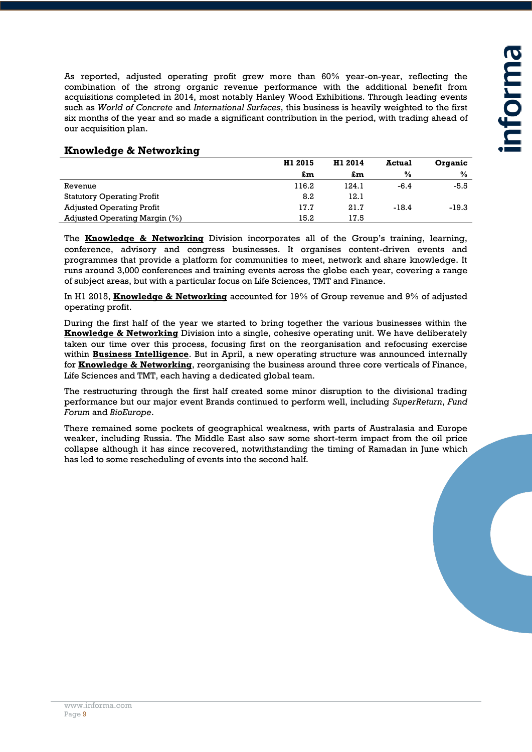As reported, adjusted operating profit grew more than 60% year-on-year, reflecting the combination of the strong organic revenue performance with the additional benefit from acquisitions completed in 2014, most notably Hanley Wood Exhibitions. Through leading events such as *World of Concrete* and *International Surfaces*, this business is heavily weighted to the first six months of the year and so made a significant contribution in the period, with trading ahead of our acquisition plan.

| <b>Knowledge &amp; Networking</b> |
|-----------------------------------|
|-----------------------------------|

|                                   | H1 2015 | H1 2014 | <b>Actual</b> | Organic |
|-----------------------------------|---------|---------|---------------|---------|
|                                   | £m      | £m      | $\%$          | $\%$    |
| Revenue                           | 116.2   | 124.1   | $-6.4$        | -5.5    |
| <b>Statutory Operating Profit</b> | 8.2     | 12.1    |               |         |
| <b>Adjusted Operating Profit</b>  | 17.7    | 21.7    | $-18.4$       | $-19.3$ |
| Adjusted Operating Margin $(\%)$  | 15.2    | 17.5    |               |         |

The **Knowledge & Networking** Division incorporates all of the Group's training, learning, conference, advisory and congress businesses. It organises content-driven events and programmes that provide a platform for communities to meet, network and share knowledge. It runs around 3,000 conferences and training events across the globe each year, covering a range of subject areas, but with a particular focus on Life Sciences, TMT and Finance.

In H1 2015, **Knowledge & Networking** accounted for 19% of Group revenue and 9% of adjusted operating profit.

During the first half of the year we started to bring together the various businesses within the **Knowledge & Networking** Division into a single, cohesive operating unit. We have deliberately taken our time over this process, focusing first on the reorganisation and refocusing exercise within **Business Intelligence**. But in April, a new operating structure was announced internally for **Knowledge & Networking**, reorganising the business around three core verticals of Finance, Life Sciences and TMT, each having a dedicated global team.

The restructuring through the first half created some minor disruption to the divisional trading performance but our major event Brands continued to perform well, including *SuperReturn*, *Fund Forum* and *BioEurope*.

There remained some pockets of geographical weakness, with parts of Australasia and Europe weaker, including Russia. The Middle East also saw some short-term impact from the oil price collapse although it has since recovered, notwithstanding the timing of Ramadan in June which has led to some rescheduling of events into the second half.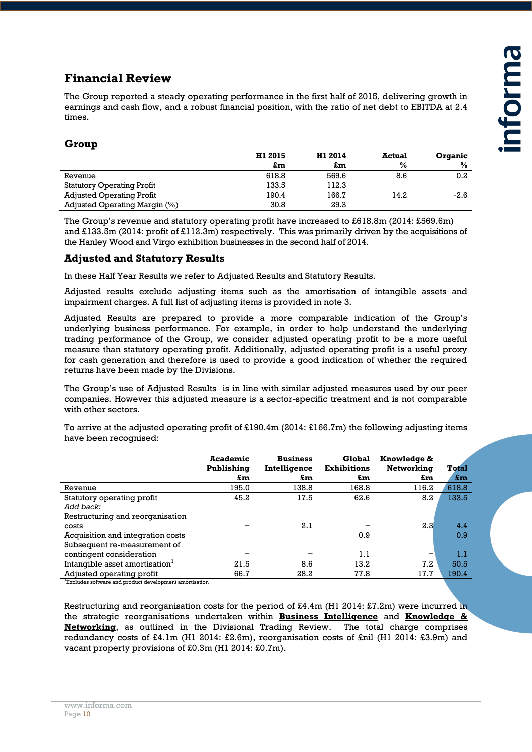# **Financial Review**

The Group reported a steady operating performance in the first half of 2015, delivering growth in earnings and cash flow, and a robust financial position, with the ratio of net debt to EBITDA at 2.4 times.

#### **Group**

|                                   | H1 2015 | H1 2014 | <b>Actual</b> | <b>Organic</b> |
|-----------------------------------|---------|---------|---------------|----------------|
|                                   | £m      | £m      | $\frac{0}{0}$ | $\frac{0}{0}$  |
| Revenue                           | 618.8   | 569.6   | 8.6           | 0.2            |
| <b>Statutory Operating Profit</b> | 133.5   | 112.3   |               |                |
| <b>Adjusted Operating Profit</b>  | 190.4   | 166.7   | 14.2          | -2.6           |
| Adjusted Operating Margin (%)     | 30.8    | 29.3    |               |                |

The Group's revenue and statutory operating profit have increased to £618.8m (2014: £569.6m) and £133.5m (2014: profit of £112.3m) respectively. This was primarily driven by the acquisitions of the Hanley Wood and Virgo exhibition businesses in the second half of 2014.

#### **Adjusted and Statutory Results**

In these Half Year Results we refer to Adjusted Results and Statutory Results.

Adjusted results exclude adjusting items such as the amortisation of intangible assets and impairment charges. A full list of adjusting items is provided in note 3.

Adjusted Results are prepared to provide a more comparable indication of the Group's underlying business performance. For example, in order to help understand the underlying trading performance of the Group, we consider adjusted operating profit to be a more useful measure than statutory operating profit. Additionally, adjusted operating profit is a useful proxy for cash generation and therefore is used to provide a good indication of whether the required returns have been made by the Divisions.

The Group's use of Adjusted Results is in line with similar adjusted measures used by our peer companies. However this adjusted measure is a sector-specific treatment and is not comparable with other sectors.

To arrive at the adjusted operating profit of £190.4m (2014: £166.7m) the following adjusting items have been recognised:

|                                            | <b>Academic</b><br>Publishing | <b>Business</b><br>Intelligence | Global<br><b>Exhibitions</b> | Knowledge &<br>Networking | Total |
|--------------------------------------------|-------------------------------|---------------------------------|------------------------------|---------------------------|-------|
|                                            | £m                            | £m                              | £m                           | £m                        | £m    |
| Revenue                                    | 195.0                         | 138.8                           | 168.8                        | 116.2                     | 618.8 |
| Statutory operating profit                 | 45.2                          | 17.5                            | 62.6                         | 8.2                       | 133.5 |
| Add back:                                  |                               |                                 |                              |                           |       |
| Restructuring and reorganisation           |                               |                                 |                              |                           |       |
| costs                                      |                               | 2.1                             |                              | 2.3                       | 4.4   |
| Acquisition and integration costs          |                               |                                 | 0.9                          |                           | 0.9   |
| Subsequent re-measurement of               |                               |                                 |                              |                           |       |
| contingent consideration                   |                               |                                 | 1.1                          | -                         | 1.1   |
| Intangible asset amortisation <sup>1</sup> | 21.5                          | 8.6                             | 13.2                         | 7.2                       | 50.5  |
| Adjusted operating profit                  | 66.7                          | 28.2                            | 77.8                         | 17.7                      | 190.4 |

<sup>1</sup>Excludes software and product development amortisation

Restructuring and reorganisation costs for the period of £4.4m (H1 2014: £7.2m) were incurred in the strategic reorganisations undertaken within **Business Intelligence** and **Knowledge & Networking**, as outlined in the Divisional Trading Review. The total charge comprises redundancy costs of £4.1m (H1 2014: £2.6m), reorganisation costs of £nil (H1 2014: £3.9m) and vacant property provisions of £0.3m (H1 2014: £0.7m).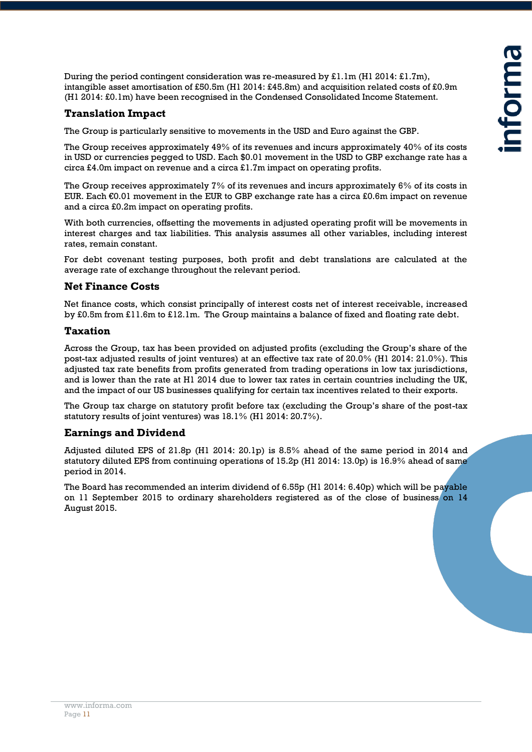During the period contingent consideration was re-measured by  $\text{\pounds}1.1m$  (H1 2014:  $\text{\pounds}1.7m$ ), intangible asset amortisation of £50.5m (H1 2014: £45.8m) and acquisition related costs of £0.9m (H1 2014: £0.1m) have been recognised in the Condensed Consolidated Income Statement.

#### **Translation Impact**

The Group is particularly sensitive to movements in the USD and Euro against the GBP.

The Group receives approximately 49% of its revenues and incurs approximately 40% of its costs in USD or currencies pegged to USD. Each \$0.01 movement in the USD to GBP exchange rate has a circa £4.0m impact on revenue and a circa £1.7m impact on operating profits.

The Group receives approximately 7% of its revenues and incurs approximately 6% of its costs in EUR. Each €0.01 movement in the EUR to GBP exchange rate has a circa £0.6m impact on revenue and a circa £0.2m impact on operating profits.

With both currencies, offsetting the movements in adjusted operating profit will be movements in interest charges and tax liabilities. This analysis assumes all other variables, including interest rates, remain constant.

For debt covenant testing purposes, both profit and debt translations are calculated at the average rate of exchange throughout the relevant period.

#### **Net Finance Costs**

Net finance costs, which consist principally of interest costs net of interest receivable, increased by £0.5m from £11.6m to £12.1m. The Group maintains a balance of fixed and floating rate debt.

#### **Taxation**

Across the Group, tax has been provided on adjusted profits (excluding the Group's share of the post-tax adjusted results of joint ventures) at an effective tax rate of 20.0% (H1 2014: 21.0%). This adjusted tax rate benefits from profits generated from trading operations in low tax jurisdictions, and is lower than the rate at H1 2014 due to lower tax rates in certain countries including the UK, and the impact of our US businesses qualifying for certain tax incentives related to their exports.

The Group tax charge on statutory profit before tax (excluding the Group's share of the post-tax statutory results of joint ventures) was 18.1% (H1 2014: 20.7%).

#### **Earnings and Dividend**

Adjusted diluted EPS of 21.8p (H1 2014: 20.1p) is 8.5% ahead of the same period in 2014 and statutory diluted EPS from continuing operations of 15.2p (H1 2014: 13.0p) is 16.9% ahead of same period in 2014.

The Board has recommended an interim dividend of 6.55p (H1 2014: 6.40p) which will be payable on 11 September 2015 to ordinary shareholders registered as of the close of business on 14 August 2015.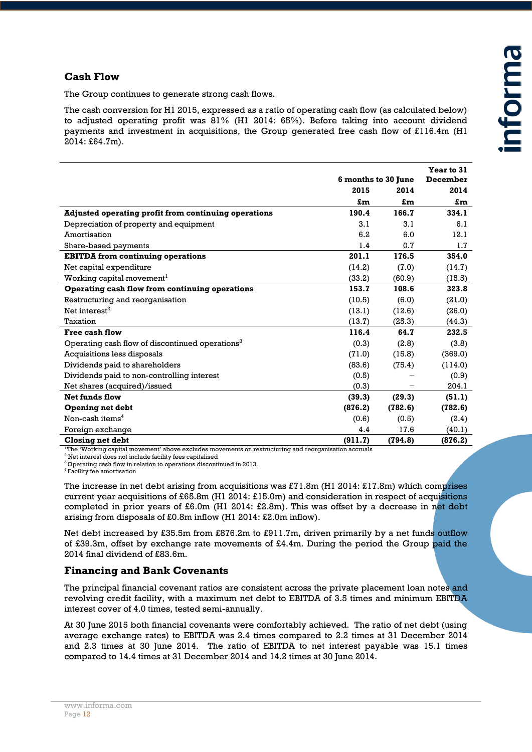#### **Cash Flow**

The Group continues to generate strong cash flows.

The cash conversion for H1 2015, expressed as a ratio of operating cash flow (as calculated below) to adjusted operating profit was 81% (H1 2014: 65%). Before taking into account dividend payments and investment in acquisitions, the Group generated free cash flow of £116.4m (H1 2014: £64.7m).

|                                                             | 6 months to 30 June |         | Year to 31<br>December |
|-------------------------------------------------------------|---------------------|---------|------------------------|
|                                                             | 2015                | 2014    | 2014                   |
|                                                             | £m                  | £m      | £m                     |
| <b>Adjusted operating profit from continuing operations</b> | 190.4               | 166.7   | 334.1                  |
| Depreciation of property and equipment                      | 3.1                 | 3.1     | 6.1                    |
| Amortisation                                                | 6.2                 | 6.0     | 12.1                   |
| Share-based payments                                        | 1.4                 | 0.7     | 1.7                    |
| <b>EBITDA</b> from continuing operations                    | 201.1               | 176.5   | 354.0                  |
| Net capital expenditure                                     | (14.2)              | (7.0)   | (14.7)                 |
| Working capital movement <sup>1</sup>                       | (33.2)              | (60.9)  | (15.5)                 |
| Operating cash flow from continuing operations              | 153.7               | 108.6   | 323.8                  |
| Restructuring and reorganisation                            | (10.5)              | (6.0)   | (21.0)                 |
| Net interest <sup>2</sup>                                   | (13.1)              | (12.6)  | (26.0)                 |
| Taxation                                                    | (13.7)              | (25.3)  | (44.3)                 |
| <b>Free cash flow</b>                                       | 116.4               | 64.7    | 232.5                  |
| Operating cash flow of discontinued operations <sup>3</sup> | (0.3)               | (2.8)   | (3.8)                  |
| Acquisitions less disposals                                 | (71.0)              | (15.8)  | (369.0)                |
| Dividends paid to shareholders                              | (83.6)              | (75.4)  | (114.0)                |
| Dividends paid to non-controlling interest                  | (0.5)               |         | (0.9)                  |
| Net shares (acquired)/issued                                | (0.3)               |         | 204.1                  |
| <b>Net funds flow</b>                                       | (39.3)              | (29.3)  | (51.1)                 |
| <b>Opening net debt</b>                                     | (876.2)             | (782.6) | (782.6)                |
| Non-cash items <sup>4</sup>                                 | (0.6)               | (0.5)   | (2.4)                  |
| Foreign exchange                                            | 4.4                 | 17.6    | (40.1)                 |
| Closing net debt                                            | (911.7)             | (794.8) | (876.2)                |

<sup>1</sup>The 'Working capital movement' above excludes movements on restructuring and reorganisation accruals

<sup>2</sup> Net interest does not include facility fees capitalised

<sup>3</sup> Operating cash flow in relation to operations discontinued in 2013.

4 Facility fee amortisation

The increase in net debt arising from acquisitions was £71.8m (H1 2014: £17.8m) which comprises current year acquisitions of £65.8m (H1 2014: £15.0m) and consideration in respect of acquisitions completed in prior years of £6.0m (H1 2014: £2.8m). This was offset by a decrease in net debt arising from disposals of £0.8m inflow (H1 2014: £2.0m inflow).

Net debt increased by £35.5m from £876.2m to £911.7m, driven primarily by a net funds outflow of £39.3m, offset by exchange rate movements of £4.4m. During the period the Group paid the 2014 final dividend of £83.6m.

#### **Financing and Bank Covenants**

The principal financial covenant ratios are consistent across the private placement loan notes and revolving credit facility, with a maximum net debt to EBITDA of 3.5 times and minimum EBITDA interest cover of 4.0 times, tested semi-annually.

At 30 June 2015 both financial covenants were comfortably achieved. The ratio of net debt (using average exchange rates) to EBITDA was 2.4 times compared to 2.2 times at 31 December 2014 and 2.3 times at 30 June 2014. The ratio of EBITDA to net interest payable was 15.1 times compared to 14.4 times at 31 December 2014 and 14.2 times at 30 June 2014.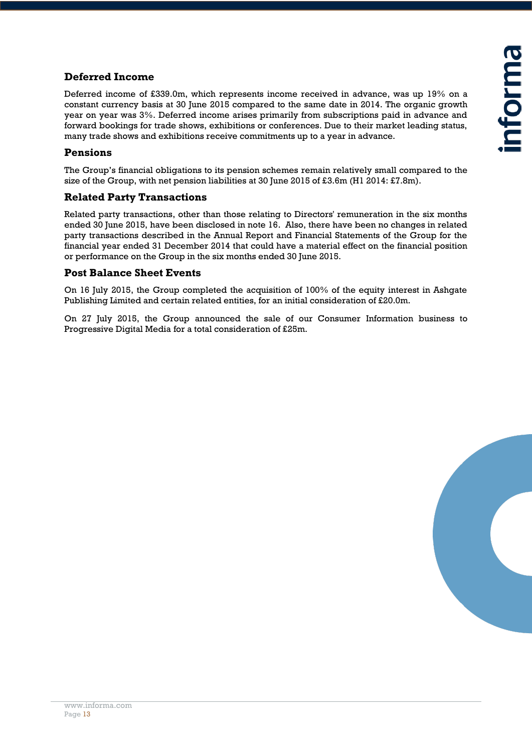#### **Deferred Income**

Deferred income of £339.0m, which represents income received in advance, was up 19% on a constant currency basis at 30 June 2015 compared to the same date in 2014. The organic growth year on year was 3%. Deferred income arises primarily from subscriptions paid in advance and forward bookings for trade shows, exhibitions or conferences. Due to their market leading status, many trade shows and exhibitions receive commitments up to a year in advance.

#### **Pensions**

The Group's financial obligations to its pension schemes remain relatively small compared to the size of the Group, with net pension liabilities at 30 June 2015 of £3.6m (H1 2014: £7.8m).

#### **Related Party Transactions**

Related party transactions, other than those relating to Directors' remuneration in the six months ended 30 June 2015, have been disclosed in note 16. Also, there have been no changes in related party transactions described in the Annual Report and Financial Statements of the Group for the financial year ended 31 December 2014 that could have a material effect on the financial position or performance on the Group in the six months ended 30 June 2015.

#### **Post Balance Sheet Events**

On 16 July 2015, the Group completed the acquisition of 100% of the equity interest in Ashgate Publishing Limited and certain related entities, for an initial consideration of £20.0m.

On 27 July 2015, the Group announced the sale of our Consumer Information business to Progressive Digital Media for a total consideration of £25m.

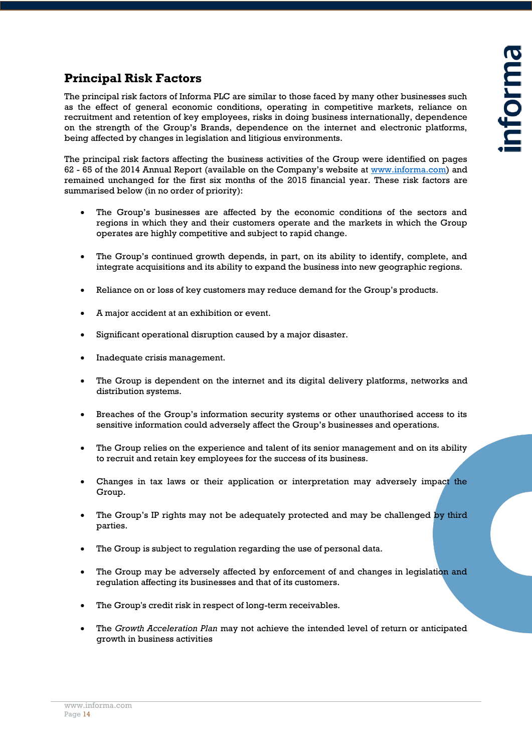# **Principal Risk Factors**

The principal risk factors of Informa PLC are similar to those faced by many other businesses such as the effect of general economic conditions, operating in competitive markets, reliance on recruitment and retention of key employees, risks in doing business internationally, dependence on the strength of the Group's Brands, dependence on the internet and electronic platforms, being affected by changes in legislation and litigious environments.

The principal risk factors affecting the business activities of the Group were identified on pages 62 - 65 of the 2014 Annual Report (available on the Company's website at [www.informa.com\)](http://www.informa.com/) and remained unchanged for the first six months of the 2015 financial year. These risk factors are summarised below (in no order of priority):

- The Group's businesses are affected by the economic conditions of the sectors and regions in which they and their customers operate and the markets in which the Group operates are highly competitive and subject to rapid change.
- The Group's continued growth depends, in part, on its ability to identify, complete, and integrate acquisitions and its ability to expand the business into new geographic regions.
- Reliance on or loss of key customers may reduce demand for the Group's products.
- A major accident at an exhibition or event.
- Significant operational disruption caused by a major disaster.
- Inadequate crisis management.
- The Group is dependent on the internet and its digital delivery platforms, networks and distribution systems.
- Breaches of the Group's information security systems or other unauthorised access to its sensitive information could adversely affect the Group's businesses and operations.
- The Group relies on the experience and talent of its senior management and on its ability to recruit and retain key employees for the success of its business.
- Changes in tax laws or their application or interpretation may adversely impact the Group.
- The Group's IP rights may not be adequately protected and may be challenged by third parties.
- The Group is subject to regulation regarding the use of personal data.
- The Group may be adversely affected by enforcement of and changes in legislation and regulation affecting its businesses and that of its customers.
- The Group's credit risk in respect of long-term receivables.
- The *Growth Acceleration Plan* may not achieve the intended level of return or anticipated growth in business activities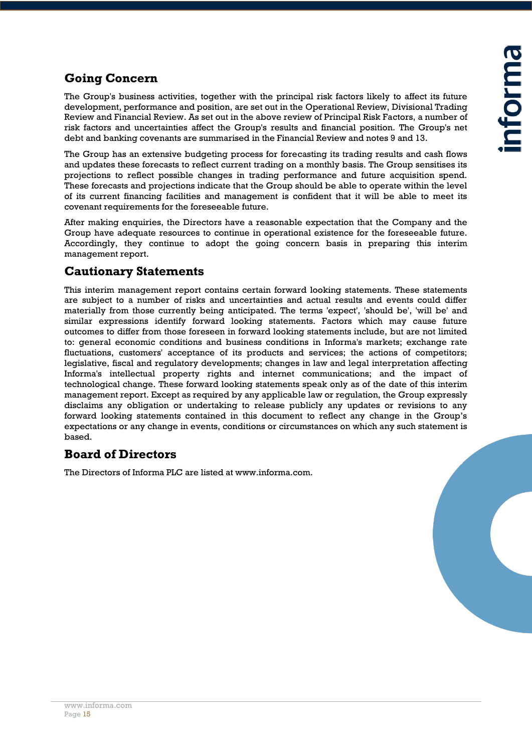# **Going Concern**

The Group's business activities, together with the principal risk factors likely to affect its future development, performance and position, are set out in the Operational Review, Divisional Trading Review and Financial Review. As set out in the above review of Principal Risk Factors, a number of risk factors and uncertainties affect the Group's results and financial position. The Group's net debt and banking covenants are summarised in the Financial Review and notes 9 and 13.

The Group has an extensive budgeting process for forecasting its trading results and cash flows and updates these forecasts to reflect current trading on a monthly basis. The Group sensitises its projections to reflect possible changes in trading performance and future acquisition spend. These forecasts and projections indicate that the Group should be able to operate within the level of its current financing facilities and management is confident that it will be able to meet its covenant requirements for the foreseeable future.

After making enquiries, the Directors have a reasonable expectation that the Company and the Group have adequate resources to continue in operational existence for the foreseeable future. Accordingly, they continue to adopt the going concern basis in preparing this interim management report.

# **Cautionary Statements**

This interim management report contains certain forward looking statements. These statements are subject to a number of risks and uncertainties and actual results and events could differ materially from those currently being anticipated. The terms 'expect', 'should be', 'will be' and similar expressions identify forward looking statements. Factors which may cause future outcomes to differ from those foreseen in forward looking statements include, but are not limited to: general economic conditions and business conditions in Informa's markets; exchange rate fluctuations, customers' acceptance of its products and services; the actions of competitors; legislative, fiscal and regulatory developments; changes in law and legal interpretation affecting Informa's intellectual property rights and internet communications; and the impact of technological change. These forward looking statements speak only as of the date of this interim management report. Except as required by any applicable law or regulation, the Group expressly disclaims any obligation or undertaking to release publicly any updates or revisions to any forward looking statements contained in this document to reflect any change in the Group's expectations or any change in events, conditions or circumstances on which any such statement is based.

# **Board of Directors**

The Directors of Informa PLC are listed at www.informa.com.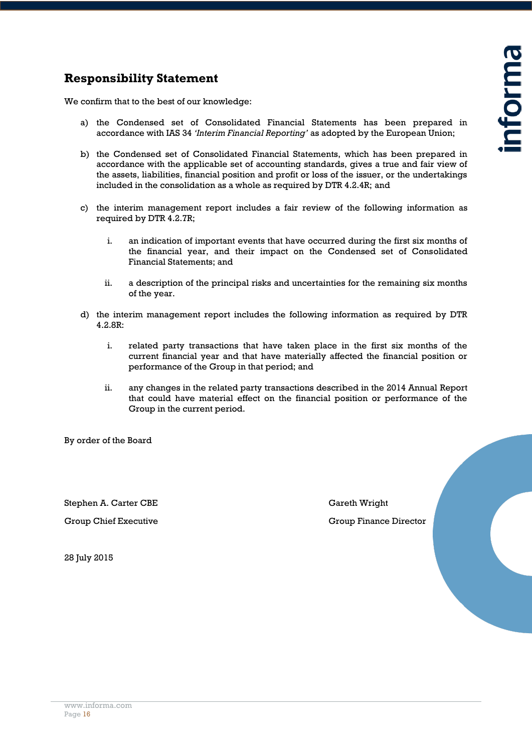# **Responsibility Statement**

We confirm that to the best of our knowledge:

- a) the Condensed set of Consolidated Financial Statements has been prepared in accordance with IAS 34 *'Interim Financial Reporting'* as adopted by the European Union;
- b) the Condensed set of Consolidated Financial Statements, which has been prepared in accordance with the applicable set of accounting standards, gives a true and fair view of the assets, liabilities, financial position and profit or loss of the issuer, or the undertakings included in the consolidation as a whole as required by DTR 4.2.4R; and
- c) the interim management report includes a fair review of the following information as required by DTR 4.2.7R;
	- i. an indication of important events that have occurred during the first six months of the financial year, and their impact on the Condensed set of Consolidated Financial Statements; and
	- ii. a description of the principal risks and uncertainties for the remaining six months of the year.
- d) the interim management report includes the following information as required by DTR 4.2.8R:
	- i. related party transactions that have taken place in the first six months of the current financial year and that have materially affected the financial position or performance of the Group in that period; and
	- ii. any changes in the related party transactions described in the 2014 Annual Report that could have material effect on the financial position or performance of the Group in the current period.

By order of the Board

Stephen A. Carter CBE Gareth Wright

Group Chief Executive Group Finance Director

28 July 2015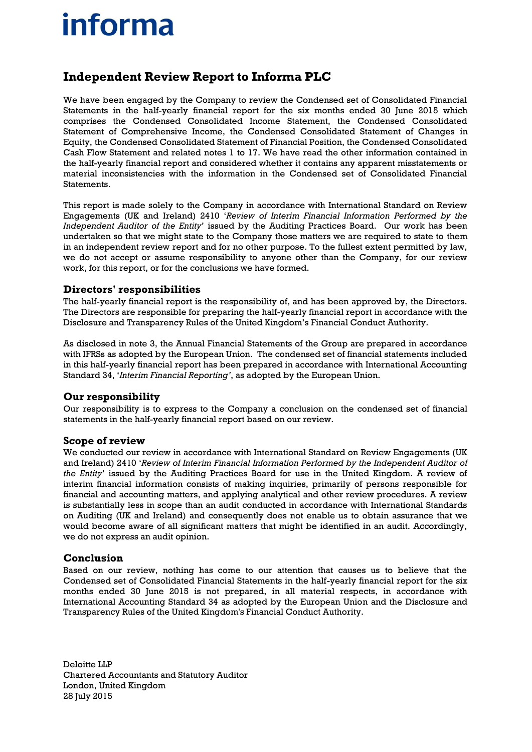# **informa**

# **Independent Review Report to Informa PLC**

We have been engaged by the Company to review the Condensed set of Consolidated Financial Statements in the half-yearly financial report for the six months ended 30 June 2015 which comprises the Condensed Consolidated Income Statement, the Condensed Consolidated Statement of Comprehensive Income, the Condensed Consolidated Statement of Changes in Equity, the Condensed Consolidated Statement of Financial Position, the Condensed Consolidated Cash Flow Statement and related notes 1 to 17. We have read the other information contained in the half-yearly financial report and considered whether it contains any apparent misstatements or material inconsistencies with the information in the Condensed set of Consolidated Financial **Statements** 

This report is made solely to the Company in accordance with International Standard on Review Engagements (UK and Ireland) 2410 '*Review of Interim Financial Information Performed by the Independent Auditor of the Entity*' issued by the Auditing Practices Board. Our work has been undertaken so that we might state to the Company those matters we are required to state to them in an independent review report and for no other purpose. To the fullest extent permitted by law, we do not accept or assume responsibility to anyone other than the Company, for our review work, for this report, or for the conclusions we have formed.

#### **Directors' responsibilities**

The half-yearly financial report is the responsibility of, and has been approved by, the Directors. The Directors are responsible for preparing the half-yearly financial report in accordance with the Disclosure and Transparency Rules of the United Kingdom's Financial Conduct Authority.

As disclosed in note 3, the Annual Financial Statements of the Group are prepared in accordance with IFRSs as adopted by the European Union. The condensed set of financial statements included in this half-yearly financial report has been prepared in accordance with International Accounting Standard 34, '*Interim Financial Reporting'*, as adopted by the European Union.

#### **Our responsibility**

Our responsibility is to express to the Company a conclusion on the condensed set of financial statements in the half-yearly financial report based on our review.

#### **Scope of review**

We conducted our review in accordance with International Standard on Review Engagements (UK and Ireland) 2410 '*Review of Interim Financial Information Performed by the Independent Auditor of the Entity*' issued by the Auditing Practices Board for use in the United Kingdom. A review of interim financial information consists of making inquiries, primarily of persons responsible for financial and accounting matters, and applying analytical and other review procedures. A review is substantially less in scope than an audit conducted in accordance with International Standards on Auditing (UK and Ireland) and consequently does not enable us to obtain assurance that we would become aware of all significant matters that might be identified in an audit. Accordingly, we do not express an audit opinion.

#### **Conclusion**

Based on our review, nothing has come to our attention that causes us to believe that the Condensed set of Consolidated Financial Statements in the half-yearly financial report for the six months ended 30 June 2015 is not prepared, in all material respects, in accordance with International Accounting Standard 34 as adopted by the European Union and the Disclosure and Transparency Rules of the United Kingdom's Financial Conduct Authority.

Deloitte LLP Chartered Accountants and Statutory Auditor London, United Kingdom 28 July 2015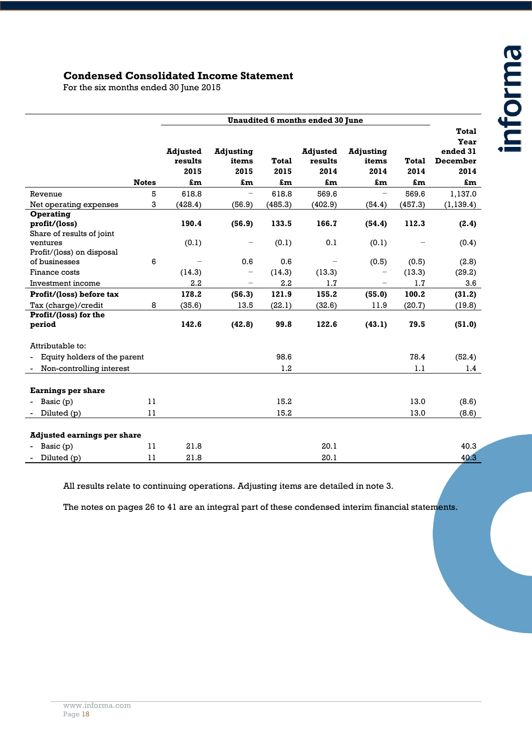#### **Condensed Consolidated Income Statement**

For the six months ended 30 June 2015

|                                    |              |                                          |                                         |                            | Unaudited 6 months ended 30 June         |                                         |                            |                                                            |
|------------------------------------|--------------|------------------------------------------|-----------------------------------------|----------------------------|------------------------------------------|-----------------------------------------|----------------------------|------------------------------------------------------------|
|                                    | <b>Notes</b> | <b>Adjusted</b><br>results<br>2015<br>£m | <b>Adjusting</b><br>items<br>2015<br>£m | <b>Total</b><br>2015<br>£m | <b>Adjusted</b><br>results<br>2014<br>£m | <b>Adjusting</b><br>items<br>2014<br>£m | <b>Total</b><br>2014<br>£m | <b>Total</b><br>Year<br>ended 31<br>December<br>2014<br>£m |
| Revenue                            | 5            | 618.8                                    |                                         | 618.8                      | 569.6                                    |                                         | 569.6                      | 1,137.0                                                    |
| Net operating expenses             | 3            | (428.4)                                  | (56.9)                                  | (485.3)                    | (402.9)                                  | (54.4)                                  | (457.3)                    | (1, 139.4)                                                 |
| Operating                          |              |                                          |                                         |                            |                                          |                                         |                            |                                                            |
| profit/(loss)                      |              | 190.4                                    | (56.9)                                  | 133.5                      | 166.7                                    | (54.4)                                  | 112.3                      | (2.4)                                                      |
| Share of results of joint          |              |                                          |                                         |                            |                                          |                                         |                            |                                                            |
| ventures                           |              | (0.1)                                    |                                         | (0.1)                      | 0.1                                      | (0.1)                                   |                            | (0.4)                                                      |
| Profit/(loss) on disposal          |              |                                          |                                         |                            |                                          |                                         |                            |                                                            |
| of businesses                      | 6            |                                          | 0.6                                     | 0.6                        |                                          | (0.5)                                   | (0.5)                      | (2.8)                                                      |
| Finance costs                      |              | (14.3)                                   |                                         | (14.3)                     | (13.3)                                   |                                         | (13.3)                     | (29.2)                                                     |
| Investment income                  |              | 2.2                                      |                                         | 2.2                        | 1.7                                      |                                         | 1.7                        | 3.6                                                        |
| Profit/(loss) before tax           |              | 178.2                                    | (56.3)                                  | 121.9                      | 155.2                                    | (55.0)                                  | 100.2                      | (31.2)                                                     |
| Tax (charge)/credit                | 8            | (35.6)                                   | 13.5                                    | (22.1)                     | (32.6)                                   | 11.9                                    | (20.7)                     | (19.8)                                                     |
| Profit/(loss) for the              |              |                                          |                                         |                            |                                          |                                         |                            |                                                            |
| period                             |              | 142.6                                    | (42.8)                                  | 99.8                       | 122.6                                    | (43.1)                                  | 79.5                       | (51.0)                                                     |
| Attributable to:                   |              |                                          |                                         |                            |                                          |                                         |                            |                                                            |
| Equity holders of the parent       |              |                                          |                                         | 98.6                       |                                          |                                         | 78.4                       | (52.4)                                                     |
| Non-controlling interest           |              |                                          |                                         | 1.2                        |                                          |                                         | 1.1                        | 1.4                                                        |
|                                    |              |                                          |                                         |                            |                                          |                                         |                            |                                                            |
| <b>Earnings per share</b>          |              |                                          |                                         |                            |                                          |                                         |                            |                                                            |
| Basic (p)                          | 11           |                                          |                                         | 15.2                       |                                          |                                         | 13.0                       | (8.6)                                                      |
| Diluted (p)                        | 11           |                                          |                                         | 15.2                       |                                          |                                         | 13.0                       | (8.6)                                                      |
|                                    |              |                                          |                                         |                            |                                          |                                         |                            |                                                            |
| <b>Adjusted earnings per share</b> |              |                                          |                                         |                            |                                          |                                         |                            |                                                            |
| Basic (p)                          | 11           | 21.8                                     |                                         |                            | 20.1                                     |                                         |                            | 40.3                                                       |
| Diluted (p)                        | 11           | 21.8                                     |                                         |                            | 20.1                                     |                                         |                            | 40.3                                                       |

All results relate to continuing operations. Adjusting items are detailed in note 3.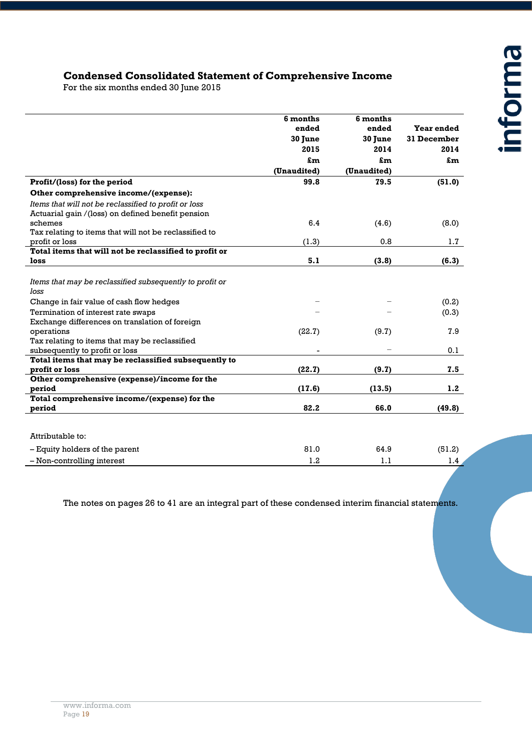### **Condensed Consolidated Statement of Comprehensive Income**

For the six months ended 30 June 2015

|                                                          | 6 months<br>ended | 6 months<br>ended | Year ended       |
|----------------------------------------------------------|-------------------|-------------------|------------------|
|                                                          | 30 June<br>2015   | 30 June           | 31 December      |
|                                                          |                   | 2014              | 2014             |
|                                                          | £m                | £m                | £m               |
|                                                          | (Unaudited)       | (Unaudited)       |                  |
| Profit/(loss) for the period                             | 99.8              | 79.5              | (51.0)           |
| Other comprehensive income/(expense):                    |                   |                   |                  |
| Items that will not be reclassified to profit or loss    |                   |                   |                  |
| Actuarial gain /(loss) on defined benefit pension        |                   |                   |                  |
| schemes                                                  | 6.4               | (4.6)             | (8.0)            |
| Tax relating to items that will not be reclassified to   |                   |                   |                  |
| profit or loss                                           | (1.3)             | 0.8               | 1.7              |
| Total items that will not be reclassified to profit or   |                   |                   |                  |
| loss                                                     | 5.1               | (3.8)             | (6.3)            |
|                                                          |                   |                   |                  |
| Items that may be reclassified subsequently to profit or |                   |                   |                  |
| loss                                                     |                   |                   |                  |
| Change in fair value of cash flow hedges                 |                   |                   | (0.2)            |
| Termination of interest rate swaps                       |                   |                   | (0.3)            |
| Exchange differences on translation of foreign           |                   |                   |                  |
| operations                                               | (22.7)            | (9.7)             | 7.9              |
| Tax relating to items that may be reclassified           |                   |                   |                  |
| subsequently to profit or loss                           |                   |                   | 0.1              |
| Total items that may be reclassified subsequently to     |                   |                   |                  |
| profit or loss                                           | (22.7)            | (9.7)             | 7.5              |
| Other comprehensive (expense)/income for the             |                   |                   |                  |
| period                                                   | (17.6)            | (13.5)            | 1.2              |
| Total comprehensive income/(expense) for the             |                   |                   |                  |
| period                                                   | 82.2              | 66.0              | (49.8)           |
|                                                          |                   |                   |                  |
| Attributable to:                                         |                   |                   |                  |
| - Equity holders of the parent                           | 81.0              | 64.9              | (51.2)           |
| - Non-controlling interest                               | 1.2               | 1.1               | 1.4 <sub>2</sub> |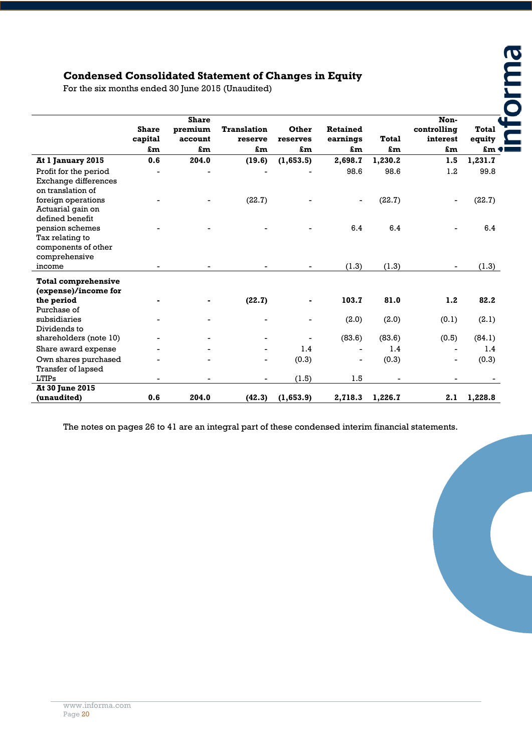# **Condensed Consolidated Statement of Changes in Equity**

| <b>Condensed Consolidated Statement of Changes in Equity</b>               |                         |                                    |                               |                   |                             |              |                                 |                        |
|----------------------------------------------------------------------------|-------------------------|------------------------------------|-------------------------------|-------------------|-----------------------------|--------------|---------------------------------|------------------------|
| For the six months ended 30 June 2015 (Unaudited)                          |                         |                                    |                               |                   |                             |              |                                 |                        |
|                                                                            | <b>Share</b><br>capital | <b>Share</b><br>premium<br>account | <b>Translation</b><br>reserve | Other<br>reserves | <b>Retained</b><br>earnings | <b>Total</b> | Non-<br>controlling<br>interest | <b>Total</b><br>equity |
|                                                                            | £m                      | £m                                 | £m                            | £m                | £m                          | £m           | £m                              | £m $\bullet$           |
| At 1 January 2015                                                          | 0.6                     | 204.0                              | (19.6)                        | (1,653.5)         | 2,698.7                     | 1,230.2      | 1.5                             | 1,231.7                |
| Profit for the period<br>Exchange differences<br>on translation of         |                         |                                    |                               |                   | 98.6                        | 98.6         | 1.2                             | 99.8                   |
| foreign operations<br>Actuarial gain on<br>defined benefit                 |                         |                                    | (22.7)                        |                   |                             | (22.7)       |                                 | (22.7)                 |
| pension schemes<br>Tax relating to<br>components of other<br>comprehensive |                         |                                    |                               |                   | 6.4                         | 6.4          |                                 | 6.4                    |
| income                                                                     |                         |                                    |                               |                   | (1.3)                       | (1.3)        | $\overline{\phantom{a}}$        | (1.3)                  |
| <b>Total comprehensive</b><br>(expense)/income for                         |                         |                                    |                               |                   |                             |              |                                 |                        |
| the period<br>Purchase of                                                  |                         |                                    | (22.7)                        |                   | 103.7                       | 81.0         | 1.2                             | 82.2                   |
| subsidiaries<br>Dividends to                                               |                         |                                    |                               | $\overline{a}$    | (2.0)                       | (2.0)        | (0.1)                           | (2.1)                  |
| shareholders (note 10)                                                     |                         |                                    |                               |                   | (83.6)                      | (83.6)       | (0.5)                           | (84.1)                 |
| Share award expense                                                        |                         |                                    |                               | 1.4               |                             | 1.4          |                                 | 1.4                    |
| Own shares purchased<br>Transfer of lapsed                                 |                         |                                    |                               | (0.3)             |                             | (0.3)        |                                 | (0.3)                  |
| <b>LTIPs</b>                                                               |                         |                                    |                               | (1.5)             | 1.5                         |              |                                 |                        |
| <b>At 30 June 2015</b>                                                     |                         |                                    |                               |                   |                             |              |                                 |                        |
| (unaudited)                                                                | 0.6                     | 204.0                              | (42.3)                        | (1,653.9)         | 2,718.3                     | 1,226.7      | 2.1                             | 1,228.8                |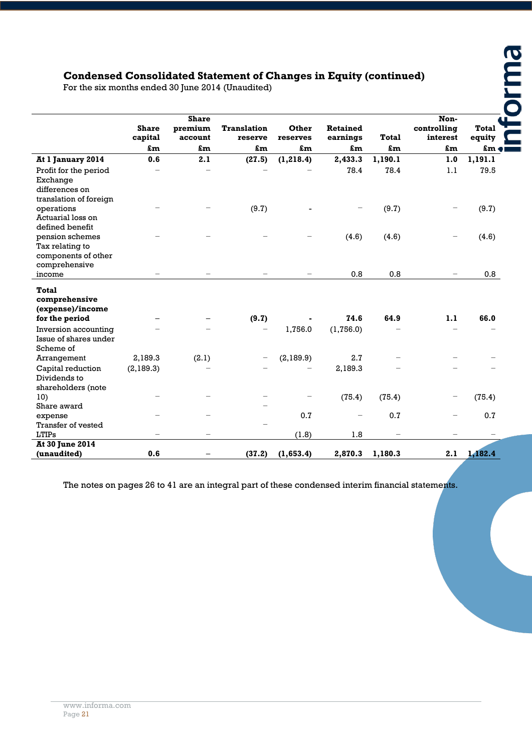# **Condensed Consolidated Statement of Changes in Equity (continued)**

| <b>Condensed Consolidated Statement of Changes in Equity (continued)</b><br>For the six months ended 30 June 2014 (Unaudited) |                         |                                    |                               |                   |                             |              |                                 |                        |  |
|-------------------------------------------------------------------------------------------------------------------------------|-------------------------|------------------------------------|-------------------------------|-------------------|-----------------------------|--------------|---------------------------------|------------------------|--|
|                                                                                                                               | <b>Share</b><br>capital | <b>Share</b><br>premium<br>account | <b>Translation</b><br>reserve | Other<br>reserves | <b>Retained</b><br>earnings | <b>Total</b> | Non-<br>controlling<br>interest | <b>Total</b><br>equity |  |
|                                                                                                                               | £m                      | £m                                 | £m                            | £m                | £m                          | £m           | £m                              | $\mathbf{m}$           |  |
| At 1 January 2014                                                                                                             | 0.6                     | 2.1                                | (27.5)                        | (1, 218.4)        | 2,433.3                     | 1,190.1      | 1.0                             | 1,191.1                |  |
| Profit for the period<br>Exchange<br>differences on<br>translation of foreign                                                 |                         |                                    |                               |                   | 78.4                        | 78.4         | 1.1                             | 79.5                   |  |
| operations<br>Actuarial loss on<br>defined benefit                                                                            |                         |                                    | (9.7)                         |                   |                             | (9.7)        |                                 | (9.7)                  |  |
| pension schemes<br>Tax relating to<br>components of other<br>comprehensive                                                    |                         |                                    |                               |                   | (4.6)                       | (4.6)        |                                 | (4.6)                  |  |
| income                                                                                                                        |                         | $\overline{\phantom{0}}$           |                               |                   | 0.8                         | 0.8          |                                 | 0.8                    |  |
| Total<br>comprehensive<br>(expense)/income<br>for the period<br>Inversion accounting                                          |                         |                                    | (9.7)                         | 1,756.0           | 74.6<br>(1,756.0)           | 64.9         | 1.1                             | 66.0                   |  |
| Issue of shares under<br>Scheme of                                                                                            |                         |                                    |                               |                   |                             |              |                                 |                        |  |
| Arrangement                                                                                                                   | 2,189.3                 | (2.1)                              |                               | (2,189.9)         | 2.7                         |              |                                 |                        |  |
| Capital reduction<br>Dividends to<br>shareholders (note                                                                       | (2,189.3)               |                                    |                               |                   | 2,189.3                     |              |                                 |                        |  |
| 10)                                                                                                                           |                         |                                    |                               |                   | (75.4)                      | (75.4)       |                                 | (75.4)                 |  |
| Share award                                                                                                                   |                         |                                    |                               |                   |                             |              |                                 |                        |  |
| expense<br>Transfer of vested                                                                                                 |                         |                                    |                               | 0.7               |                             | 0.7          |                                 | 0.7                    |  |
| <b>LTIPs</b>                                                                                                                  |                         |                                    |                               | (1.8)             | 1.8                         |              |                                 |                        |  |
| <b>At 30 June 2014</b><br>(unaudited)                                                                                         | 0.6                     |                                    | (37.2)                        | (1,653.4)         | 2,870.3                     | 1,180.3      | 2.1                             | 1,182.4                |  |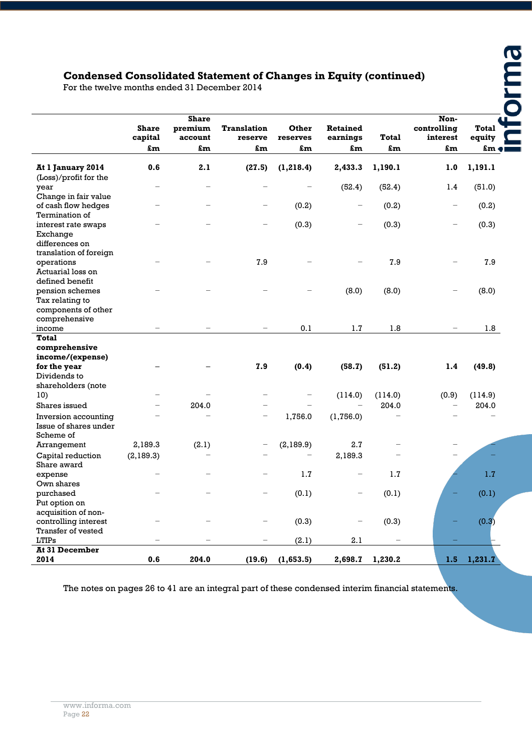# **Condensed Consolidated Statement of Changes in Equity (continued)**

| For the twelve months ended 31 December 2014                                 |                               |                                          | <b>Condensed Consolidated Statement of Changes in Equity (continued)</b> |                         |                                   |                    |                                       |                                |
|------------------------------------------------------------------------------|-------------------------------|------------------------------------------|--------------------------------------------------------------------------|-------------------------|-----------------------------------|--------------------|---------------------------------------|--------------------------------|
|                                                                              | <b>Share</b><br>capital<br>£m | <b>Share</b><br>premium<br>account<br>£m | <b>Translation</b><br>reserve<br>£m                                      | Other<br>reserves<br>£m | <b>Retained</b><br>earnings<br>£m | <b>Total</b><br>£m | Non-<br>controlling<br>interest<br>£m | <b>Total</b><br>equity<br>£m e |
| At 1 January 2014                                                            | 0.6                           | 2.1                                      | (27.5)                                                                   | (1, 218.4)              | 2,433.3                           | 1,190.1            | 1.0                                   | 1,191.1                        |
| (Loss)/profit for the<br>year                                                | $\overline{\phantom{0}}$      | $\overline{\phantom{0}}$                 |                                                                          |                         | (52.4)                            | (52.4)             | 1.4                                   | (51.0)                         |
| Change in fair value                                                         |                               |                                          |                                                                          |                         |                                   |                    |                                       |                                |
| of cash flow hedges<br>Termination of                                        |                               |                                          | -                                                                        | (0.2)                   |                                   | (0.2)              | -                                     | (0.2)                          |
| interest rate swaps<br>Exchange<br>differences on                            |                               |                                          |                                                                          | (0.3)                   |                                   | (0.3)              |                                       | (0.3)                          |
| translation of foreign<br>operations<br>Actuarial loss on<br>defined benefit |                               |                                          | 7.9                                                                      |                         |                                   | 7.9                |                                       | 7.9                            |
| pension schemes<br>Tax relating to<br>components of other                    |                               |                                          |                                                                          |                         | (8.0)                             | (8.0)              |                                       | (8.0)                          |
| comprehensive<br>income                                                      |                               |                                          |                                                                          | 0.1                     | 1.7                               | 1.8                |                                       | 1.8                            |
| Total<br>comprehensive<br>income/(expense)<br>for the year                   |                               |                                          | 7.9                                                                      | (0.4)                   | (58.7)                            | (51.2)             | 1.4                                   | (49.8)                         |
| Dividends to<br>shareholders (note                                           |                               |                                          |                                                                          |                         |                                   |                    |                                       |                                |
| 10)                                                                          |                               |                                          |                                                                          |                         | (114.0)                           | (114.0)            | (0.9)                                 | (114.9)                        |
| Shares issued                                                                |                               | 204.0                                    |                                                                          |                         |                                   | 204.0              |                                       | 204.0                          |
| Inversion accounting<br>Issue of shares under<br>Scheme of                   |                               | L,                                       | $\overline{\phantom{0}}$                                                 | 1,756.0                 | (1,756.0)                         |                    |                                       |                                |
| Arrangement                                                                  | 2,189.3                       | (2.1)                                    |                                                                          | (2,189.9)               | 2.7                               |                    |                                       |                                |
| Capital reduction<br>Share award                                             | (2,189.3)                     |                                          |                                                                          |                         | 2,189.3                           |                    |                                       |                                |
| expense<br>Own shares                                                        |                               |                                          | $\overline{\phantom{0}}$                                                 | $1.7\,$                 | $\qquad \qquad -$                 | $1.7\,$            |                                       | $1.7\,$                        |
| purchased<br>Put option on<br>acquisition of non-                            |                               |                                          | $\overline{\phantom{0}}$                                                 | (0.1)                   |                                   | (0.1)              |                                       | (0.1)                          |
| controlling interest<br>Transfer of vested                                   |                               |                                          |                                                                          | (0.3)                   |                                   | (0.3)              |                                       | (0.3)                          |
| LTIPS                                                                        |                               |                                          |                                                                          | (2.1)                   | 2.1                               |                    |                                       |                                |
| <b>At 31 December</b><br>2014                                                | 0.6                           | 204.0                                    | (19.6)                                                                   | (1,653.5)               | 2,698.7                           | 1,230.2            | $1.5 -$                               | 1,231.7                        |
|                                                                              |                               |                                          |                                                                          |                         |                                   |                    |                                       |                                |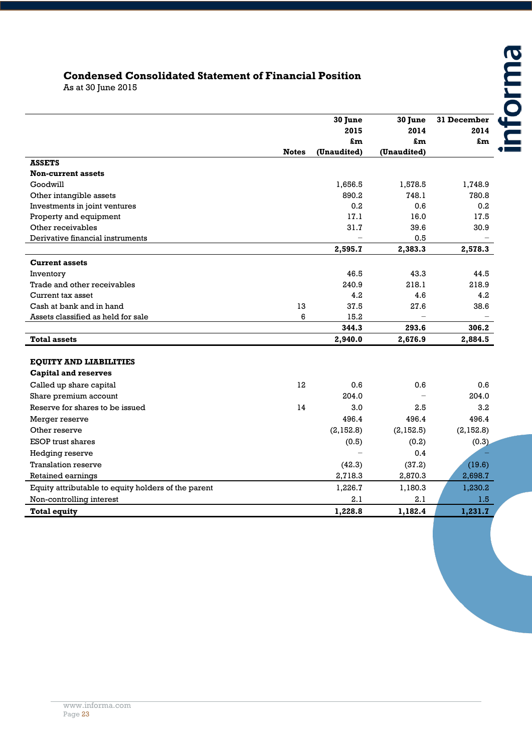# informa

# **Condensed Consolidated Statement of Financial Position**

As at 30 June 2015

|                                                     |              | 30 June<br>2015 | 30 June<br>2014 | 31 December<br>2014 |
|-----------------------------------------------------|--------------|-----------------|-----------------|---------------------|
|                                                     |              | £m              | £m              | £m                  |
|                                                     | <b>Notes</b> | (Unaudited)     | (Unaudited)     |                     |
| <b>ASSETS</b>                                       |              |                 |                 |                     |
| <b>Non-current assets</b>                           |              |                 |                 |                     |
| Goodwill                                            |              | 1,656.5         | 1,578.5         | 1,748.9             |
| Other intangible assets                             |              | 890.2           | 748.1           | 780.8               |
| Investments in joint ventures                       |              | 0.2             | 0.6             | 0.2                 |
| Property and equipment                              |              | 17.1            | 16.0            | 17.5                |
| Other receivables                                   |              | 31.7            | 39.6            | 30.9                |
| Derivative financial instruments                    |              | $\equiv$        | 0.5             |                     |
|                                                     |              | 2,595.7         | 2,383.3         | 2,578.3             |
| <b>Current assets</b>                               |              |                 |                 |                     |
| Inventory                                           |              | 46.5            | 43.3            | 44.5                |
| Trade and other receivables                         |              | 240.9           | 218.1           | 218.9               |
| Current tax asset                                   |              | 4.2             | 4.6             | 4.2                 |
| Cash at bank and in hand                            | 13           | 37.5            | 27.6            | 38.6                |
| Assets classified as held for sale                  | 6            | 15.2            |                 |                     |
|                                                     |              | 344.3           | 293.6           | 306.2               |
| <b>Total assets</b>                                 |              | 2,940.0         | 2,676.9         | 2,884.5             |
|                                                     |              |                 |                 |                     |
| <b>EQUITY AND LIABILITIES</b>                       |              |                 |                 |                     |
| <b>Capital and reserves</b>                         |              |                 |                 |                     |
| Called up share capital                             | 12           | 0.6             | 0.6             | 0.6                 |
| Share premium account                               |              | 204.0           |                 | 204.0               |
| Reserve for shares to be issued                     | 14           | 3.0             | 2.5             | 3.2                 |
| Merger reserve                                      |              | 496.4           | 496.4           | 496.4               |
| Other reserve                                       |              | (2,152.8)       | (2,152.5)       | (2, 152.8)          |
| <b>ESOP</b> trust shares                            |              | (0.5)           | (0.2)           | (0.3)               |
| Hedging reserve                                     |              |                 | 0.4             |                     |
| <b>Translation reserve</b>                          |              | (42.3)          | (37.2)          | (19.6)              |
| Retained earnings                                   |              | 2,718.3         | 2,870.3         | 2,698.7             |
| Equity attributable to equity holders of the parent |              | 1,226.7         | 1,180.3         | 1,230.2             |
| Non-controlling interest                            |              | 2.1             | 2.1             | 1.5                 |
| <b>Total equity</b>                                 |              | 1,228.8         | 1,182.4         | 1,231.7             |
|                                                     |              |                 |                 |                     |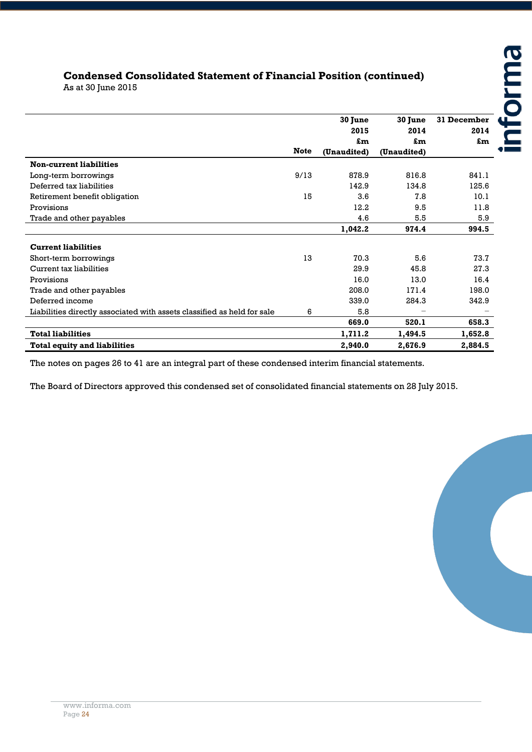# **Condensed Consolidated Statement of Financial Position (continued)**

As at 30 June 2015

|                                                                         |             | 30 June<br>2015<br>£m | 30 June<br>2014<br>£m | 31 December<br>2014<br>£m |
|-------------------------------------------------------------------------|-------------|-----------------------|-----------------------|---------------------------|
|                                                                         | <b>Note</b> | (Unaudited)           | (Unaudited)           |                           |
| <b>Non-current liabilities</b>                                          |             |                       |                       |                           |
| Long-term borrowings                                                    | 9/13        | 878.9                 | 816.8                 | 841.1                     |
| Deferred tax liabilities                                                |             | 142.9                 | 134.8                 | 125.6                     |
| Retirement benefit obligation                                           | 15          | 3.6                   | 7.8                   | 10.1                      |
| Provisions                                                              |             | 12.2                  | 9.5                   | 11.8                      |
| Trade and other payables                                                |             | 4.6                   | 5.5                   | 5.9                       |
|                                                                         |             | 1,042.2               | 974.4                 | 994.5                     |
| <b>Current liabilities</b>                                              |             |                       |                       |                           |
| Short-term borrowings                                                   | 13          | 70.3                  | 5.6                   | 73.7                      |
| Current tax liabilities                                                 |             | 29.9                  | 45.8                  | 27.3                      |
| Provisions                                                              |             | 16.0                  | 13.0                  | 16.4                      |
| Trade and other payables                                                |             | 208.0                 | 171.4                 | 198.0                     |
| Deferred income                                                         |             | 339.0                 | 284.3                 | 342.9                     |
| Liabilities directly associated with assets classified as held for sale | 6           | 5.8                   |                       |                           |
|                                                                         |             | 669.0                 | 520.1                 | 658.3                     |
| <b>Total liabilities</b>                                                |             | 1,711.2               | 1,494.5               | 1,652.8                   |
| <b>Total equity and liabilities</b>                                     |             | 2,940.0               | 2,676.9               | 2,884.5                   |

The notes on pages 26 to 41 are an integral part of these condensed interim financial statements.

The Board of Directors approved this condensed set of consolidated financial statements on 28 July 2015.

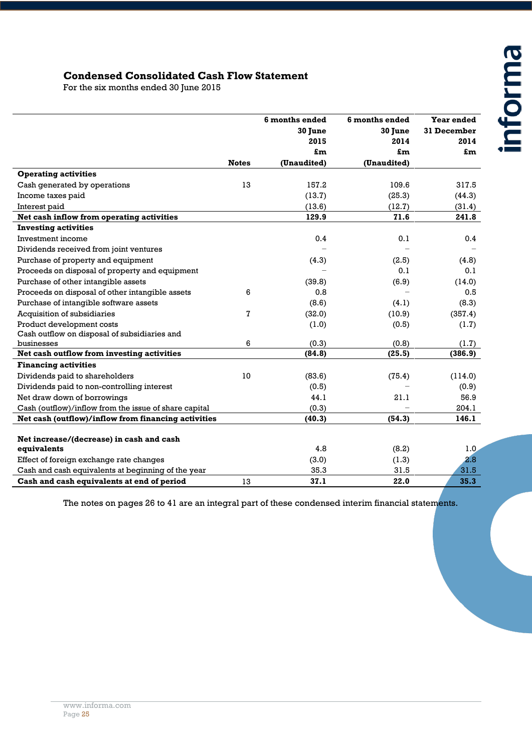#### **Condensed Consolidated Cash Flow Statement**

For the six months ended 30 June 2015

|                                                       |              | 6 months ended | 6 months ended | Year ended  |
|-------------------------------------------------------|--------------|----------------|----------------|-------------|
|                                                       |              | 30 June        | 30 June        | 31 December |
|                                                       |              | 2015           | 2014           | 2014        |
|                                                       |              | £m             | £m             | £m          |
|                                                       | <b>Notes</b> | (Unaudited)    | (Unaudited)    |             |
| <b>Operating activities</b>                           |              |                |                |             |
| Cash generated by operations                          | 13           | 157.2          | 109.6          | 317.5       |
| Income taxes paid                                     |              | (13.7)         | (25.3)         | (44.3)      |
| Interest paid                                         |              | (13.6)         | (12.7)         | (31.4)      |
| Net cash inflow from operating activities             |              | 129.9          | 71.6           | 241.8       |
| <b>Investing activities</b>                           |              |                |                |             |
| Investment income                                     |              | 0.4            | 0.1            | 0.4         |
| Dividends received from joint ventures                |              |                |                |             |
| Purchase of property and equipment                    |              | (4.3)          | (2.5)          | (4.8)       |
| Proceeds on disposal of property and equipment        |              |                | 0.1            | 0.1         |
| Purchase of other intangible assets                   |              | (39.8)         | (6.9)          | (14.0)      |
| Proceeds on disposal of other intangible assets       | 6            | 0.8            |                | 0.5         |
| Purchase of intangible software assets                |              | (8.6)          | (4.1)          | (8.3)       |
| Acquisition of subsidiaries                           | 7            | (32.0)         | (10.9)         | (357.4)     |
| Product development costs                             |              | (1.0)          | (0.5)          | (1.7)       |
| Cash outflow on disposal of subsidiaries and          |              |                |                |             |
| businesses                                            | 6            | (0.3)          | (0.8)          | (1.7)       |
| Net cash outflow from investing activities            |              | (84.8)         | (25.5)         | (386.9)     |
| <b>Financing activities</b>                           |              |                |                |             |
| Dividends paid to shareholders                        | 10           | (83.6)         | (75.4)         | (114.0)     |
| Dividends paid to non-controlling interest            |              | (0.5)          |                | (0.9)       |
| Net draw down of borrowings                           |              | 44.1           | 21.1           | 56.9        |
| Cash (outflow)/inflow from the issue of share capital |              | (0.3)          |                | 204.1       |
| Net cash (outflow)/inflow from financing activities   |              | (40.3)         | (54.3)         | 146.1       |
|                                                       |              |                |                |             |
| Net increase/(decrease) in cash and cash              |              |                |                |             |
| equivalents                                           |              | 4.8            | (8.2)          | 1.0         |
| Effect of foreign exchange rate changes               |              | (3.0)          | (1.3)          | 2.8         |
| Cash and cash equivalents at beginning of the year    |              | 35.3           | 31.5           | 31.5        |
| Cash and cash equivalents at end of period            | 13           | 37.1           | 22.0           | 35.3        |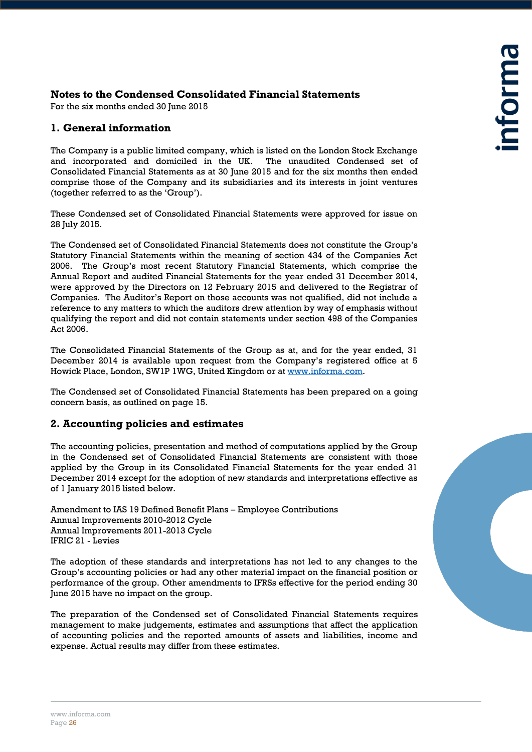#### **Notes to the Condensed Consolidated Financial Statements**

For the six months ended 30 June 2015

#### **1. General information**

The Company is a public limited company, which is listed on the London Stock Exchange and incorporated and domiciled in the UK. The unaudited Condensed set of Consolidated Financial Statements as at 30 June 2015 and for the six months then ended comprise those of the Company and its subsidiaries and its interests in joint ventures (together referred to as the 'Group').

These Condensed set of Consolidated Financial Statements were approved for issue on 28 July 2015.

The Condensed set of Consolidated Financial Statements does not constitute the Group's Statutory Financial Statements within the meaning of section 434 of the Companies Act 2006. The Group's most recent Statutory Financial Statements, which comprise the Annual Report and audited Financial Statements for the year ended 31 December 2014, were approved by the Directors on 12 February 2015 and delivered to the Registrar of Companies. The Auditor's Report on those accounts was not qualified, did not include a reference to any matters to which the auditors drew attention by way of emphasis without qualifying the report and did not contain statements under section 498 of the Companies Act 2006.

The Consolidated Financial Statements of the Group as at, and for the year ended, 31 December 2014 is available upon request from the Company's registered office at 5 Howick Place, London, SW1P 1WG, United Kingdom or at [www.informa.com.](http://www.informa.com/)

The Condensed set of Consolidated Financial Statements has been prepared on a going concern basis, as outlined on page 15.

#### **2. Accounting policies and estimates**

The accounting policies, presentation and method of computations applied by the Group in the Condensed set of Consolidated Financial Statements are consistent with those applied by the Group in its Consolidated Financial Statements for the year ended 31 December 2014 except for the adoption of new standards and interpretations effective as of 1 January 2015 listed below.

Amendment to IAS 19 Defined Benefit Plans – Employee Contributions Annual Improvements 2010-2012 Cycle Annual Improvements 2011-2013 Cycle IFRIC 21 - Levies

The adoption of these standards and interpretations has not led to any changes to the Group's accounting policies or had any other material impact on the financial position or performance of the group. Other amendments to IFRSs effective for the period ending 30 June 2015 have no impact on the group.

The preparation of the Condensed set of Consolidated Financial Statements requires management to make judgements, estimates and assumptions that affect the application of accounting policies and the reported amounts of assets and liabilities, income and expense. Actual results may differ from these estimates.

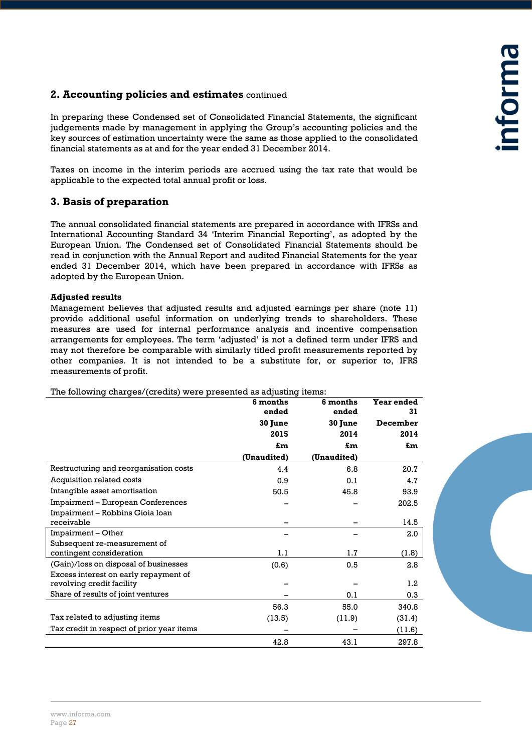#### **2. Accounting policies and estimates** continued

In preparing these Condensed set of Consolidated Financial Statements, the significant judgements made by management in applying the Group's accounting policies and the key sources of estimation uncertainty were the same as those applied to the consolidated financial statements as at and for the year ended 31 December 2014.

Taxes on income in the interim periods are accrued using the tax rate that would be applicable to the expected total annual profit or loss.

#### **3. Basis of preparation**

The annual consolidated financial statements are prepared in accordance with IFRSs and International Accounting Standard 34 'Interim Financial Reporting', as adopted by the European Union. The Condensed set of Consolidated Financial Statements should be read in conjunction with the Annual Report and audited Financial Statements for the year ended 31 December 2014, which have been prepared in accordance with IFRSs as adopted by the European Union.

#### **Adjusted results**

Management believes that adjusted results and adjusted earnings per share (note 11) provide additional useful information on underlying trends to shareholders. These measures are used for internal performance analysis and incentive compensation arrangements for employees. The term 'adjusted' is not a defined term under IFRS and may not therefore be comparable with similarly titled profit measurements reported by other companies. It is not intended to be a substitute for, or superior to, IFRS measurements of profit.

**6 months ended 6 months ended Year ended 31 30 June 30 June December 2015 2014 2014 £m £m £m (Unaudited) (Unaudited)** Restructuring and reorganisation costs  $4.4$  6.8 20.7 Acquisition related costs 6.9 0.9 0.1 4.7 Intangible asset amortisation 60.5 50.5 45.8 93.9 Impairment – European Conferences – – 202.5 Impairment – Robbins Gioia loan receivable – – 14.5 Impairment – Other – – 2.0 Subsequent re-measurement of contingent consideration and the contingent consideration of the contingent consideration continues are  $1.1$  (1.8) (Gain)/loss on disposal of businesses (0.6) 0.5 2.8 Excess interest on early repayment of revolving credit facility – – 1.2 Share of results of joint ventures  $\qquad \qquad - \qquad \qquad 0.1$  0.3 56.3 55.0 340.8 Tax related to adjusting items (13.5) (11.9) (31.4) Tax credit in respect of prior year items – − (11.6) 42.8 43.1 297.8

The following charges/(credits) were presented as adjusting items: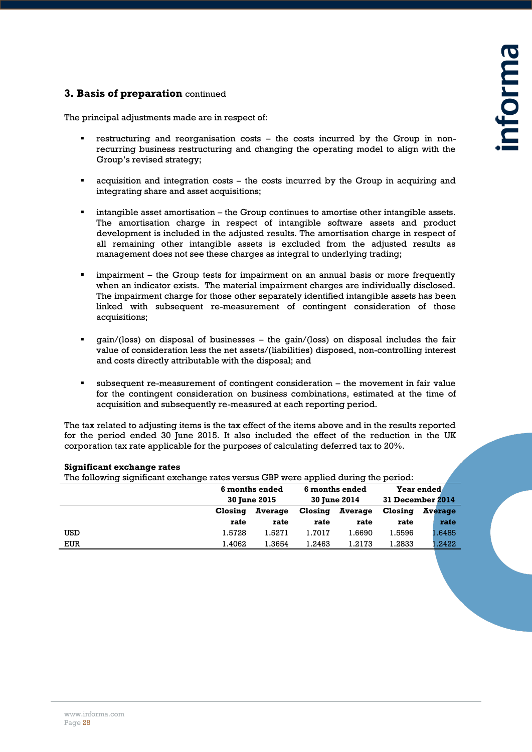#### **3. Basis of preparation** continued

The principal adjustments made are in respect of:

- restructuring and reorganisation costs the costs incurred by the Group in nonrecurring business restructuring and changing the operating model to align with the Group's revised strategy;
- acquisition and integration costs the costs incurred by the Group in acquiring and integrating share and asset acquisitions;
- intangible asset amortisation the Group continues to amortise other intangible assets. The amortisation charge in respect of intangible software assets and product development is included in the adjusted results. The amortisation charge in respect of all remaining other intangible assets is excluded from the adjusted results as management does not see these charges as integral to underlying trading;
- impairment the Group tests for impairment on an annual basis or more frequently when an indicator exists. The material impairment charges are individually disclosed. The impairment charge for those other separately identified intangible assets has been linked with subsequent re-measurement of contingent consideration of those acquisitions;
- gain/(loss) on disposal of businesses the gain/(loss) on disposal includes the fair value of consideration less the net assets/(liabilities) disposed, non-controlling interest and costs directly attributable with the disposal; and
- subsequent re-measurement of contingent consideration the movement in fair value for the contingent consideration on business combinations, estimated at the time of acquisition and subsequently re-measured at each reporting period.

The tax related to adjusting items is the tax effect of the items above and in the results reported for the period ended 30 June 2015. It also included the effect of the reduction in the UK corporation tax rate applicable for the purposes of calculating deferred tax to 20%.

| The following significant exchange rates versus GBP were applied during the period: |                     |                |         |                     |         |                  |
|-------------------------------------------------------------------------------------|---------------------|----------------|---------|---------------------|---------|------------------|
|                                                                                     |                     | 6 months ended |         | 6 months ended      |         | Year ended       |
|                                                                                     | <b>30 June 2015</b> |                |         | <b>30 June 2014</b> |         | 31 December 2014 |
|                                                                                     | Closing             | Average        | Closing | Average             | Closing | Average          |
|                                                                                     | rate                | rate           | rate    | rate                | rate    | rate             |
| USD                                                                                 | 1.5728              | 1.5271         | 1.7017  | 1.6690              | 1.5596  | 1.6485           |
| EUR                                                                                 | 1.4062              | 1.3654         | 1.2463  | 1.2173              | 1.2833  | .2422            |

#### **Significant exchange rates**

The following significant exchange rates versus GBP were applied during the period: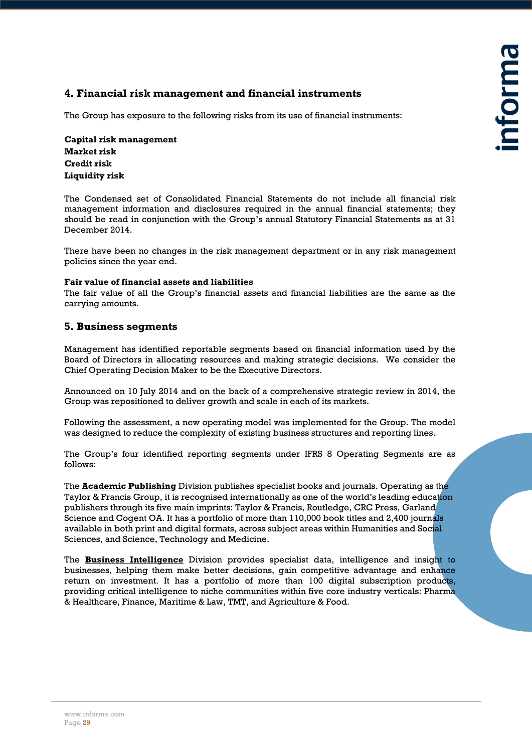#### **4. Financial risk management and financial instruments**

The Group has exposure to the following risks from its use of financial instruments:

**Capital risk management Market risk Credit risk Liquidity risk**

The Condensed set of Consolidated Financial Statements do not include all financial risk management information and disclosures required in the annual financial statements; they should be read in conjunction with the Group's annual Statutory Financial Statements as at 31 December 2014.

There have been no changes in the risk management department or in any risk management policies since the year end.

#### **Fair value of financial assets and liabilities**

The fair value of all the Group's financial assets and financial liabilities are the same as the carrying amounts.

#### **5. Business segments**

Management has identified reportable segments based on financial information used by the Board of Directors in allocating resources and making strategic decisions. We consider the Chief Operating Decision Maker to be the Executive Directors.

Announced on 10 July 2014 and on the back of a comprehensive strategic review in 2014, the Group was repositioned to deliver growth and scale in each of its markets.

Following the assessment, a new operating model was implemented for the Group. The model was designed to reduce the complexity of existing business structures and reporting lines.

The Group's four identified reporting segments under IFRS 8 Operating Segments are as follows:

The **Academic Publishing** Division publishes specialist books and journals. Operating as the Taylor & Francis Group, it is recognised internationally as one of the world's leading education publishers through its five main imprints: Taylor & Francis, Routledge, CRC Press, Garland Science and Cogent OA. It has a portfolio of more than 110,000 book titles and 2,400 journals available in both print and digital formats, across subject areas within Humanities and Social Sciences, and Science, Technology and Medicine.

The **Business Intelligence** Division provides specialist data, intelligence and insight to businesses, helping them make better decisions, gain competitive advantage and enhance return on investment. It has a portfolio of more than 100 digital subscription products, providing critical intelligence to niche communities within five core industry verticals: Pharma & Healthcare, Finance, Maritime & Law, TMT, and Agriculture & Food.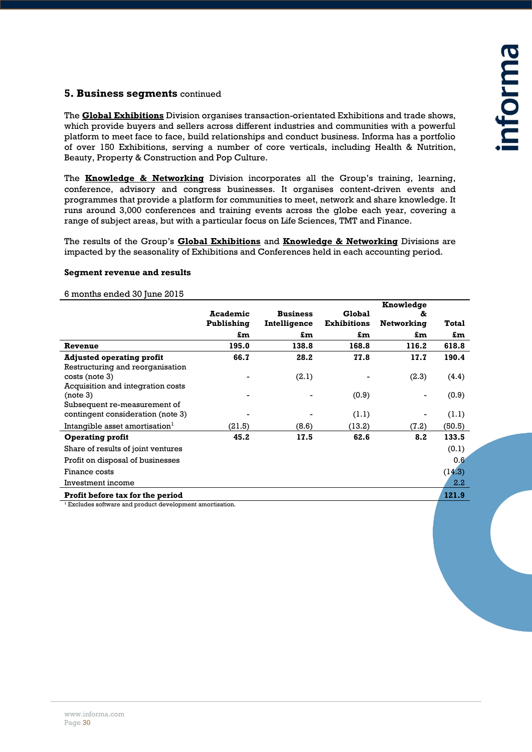#### **5. Business segments** continued

The **Global Exhibitions** Division organises transaction-orientated Exhibitions and trade shows, which provide buyers and sellers across different industries and communities with a powerful platform to meet face to face, build relationships and conduct business. Informa has a portfolio of over 150 Exhibitions, serving a number of core verticals, including Health & Nutrition, Beauty, Property & Construction and Pop Culture.

The **Knowledge & Networking** Division incorporates all the Group's training, learning, conference, advisory and congress businesses. It organises content-driven events and programmes that provide a platform for communities to meet, network and share knowledge. It runs around 3,000 conferences and training events across the globe each year, covering a range of subject areas, but with a particular focus on Life Sciences, TMT and Finance.

The results of the Group's **Global Exhibitions** and **Knowledge & Networking** Divisions are impacted by the seasonality of Exhibitions and Conferences held in each accounting period.

#### **Segment revenue and results**

**Academic Publishing Business Intelligence Global Exhibitions Knowledge & Networking Total £m £m £m £m £m Revenue 195.0 138.8 168.8 116.2 618.8 Adjusted operating profit 66.7 28.2 77.8 17.7 190.4** Restructuring and reorganisation  $\csc(s)$  - (2.1) - (2.3) (4.4) Acquisition and integration costs (note 3) - - (0.9) - (0.9) Subsequent re-measurement of contingent consideration (note 3)  $(1.1)$  (1.1) (1.1) Intangible asset amortisation $1$ (21.5) (8.6) (13.2) (7.2) (50.5) **Operating profit 45.2 17.5 62.6 8.2 133.5** Share of results of joint ventures (0.1) Share of results of joint ventures (0.1) Profit on disposal of businesses 0.6 Finance costs (14.3) (14.3) Investment income 2.2 Profit before tax for the period **121.9** 

6 months ended 30 June 2015

<sup>1</sup> Excludes software and product development amortisation.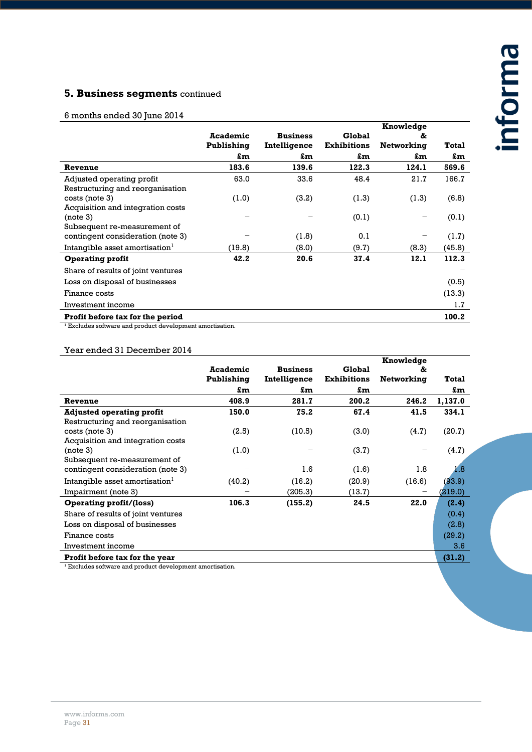# **5. Business segments** continued

#### 6 months ended 30 June 2014

|                                                                      |                 |                 |                    | Knowledge  |        |
|----------------------------------------------------------------------|-----------------|-----------------|--------------------|------------|--------|
|                                                                      | <b>Academic</b> | <b>Business</b> | Global             | &          |        |
|                                                                      | Publishing      | Intelligence    | <b>Exhibitions</b> | Networking | Total  |
|                                                                      | £m              | £m              | £m                 | £m         | £m     |
| Revenue                                                              | 183.6           | 139.6           | 122.3              | 124.1      | 569.6  |
| Adjusted operating profit                                            | 63.0            | 33.6            | 48.4               | 21.7       | 166.7  |
| Restructuring and reorganisation                                     |                 |                 |                    |            |        |
| $costs$ (note 3)                                                     | (1.0)           | (3.2)           | (1.3)              | (1.3)      | (6.8)  |
| Acquisition and integration costs                                    |                 |                 |                    |            |        |
| (note 3)                                                             |                 |                 | (0.1)              |            | (0.1)  |
| Subsequent re-measurement of                                         |                 |                 |                    |            |        |
| contingent consideration (note 3)                                    |                 | (1.8)           | 0.1                |            | (1.7)  |
| Intangible asset amortisation <sup>1</sup>                           | (19.8)          | (8.0)           | (9.7)              | (8.3)      | (45.8) |
| <b>Operating profit</b>                                              | 42.2            | 20.6            | 37.4               | 12.1       | 112.3  |
| Share of results of joint ventures                                   |                 |                 |                    |            |        |
| Loss on disposal of businesses                                       |                 |                 |                    |            | (0.5)  |
| Finance costs                                                        |                 |                 |                    |            | (13.3) |
| Investment income                                                    |                 |                 |                    |            | 1.7    |
| Profit before tax for the period                                     |                 |                 |                    |            | 100.2  |
| $\frac{1}{2}$ Excludes software and product development amortisation |                 |                 |                    |            |        |

es software and product development amortisation.

#### Year ended 31 December 2014

|                                            |                 |                 |                    | Knowledge  |         |
|--------------------------------------------|-----------------|-----------------|--------------------|------------|---------|
|                                            | <b>Academic</b> | <b>Business</b> | Global             | &          |         |
|                                            | Publishing      | Intelligence    | <b>Exhibitions</b> | Networking | Total   |
|                                            | £m              | £m              | £m                 |            | £m      |
| Revenue                                    | 408.9           | 281.7           | 200.2              | 246.2      | 1,137.0 |
| <b>Adjusted operating profit</b>           | 150.0           | 75.2            | 67.4               | 41.5       | 334.1   |
| Restructuring and reorganisation           |                 |                 |                    |            |         |
| $costs$ (note 3)                           | (2.5)           | (10.5)          | (3.0)              | (4.7)      | (20.7)  |
| Acquisition and integration costs          |                 |                 |                    |            |         |
| (note 3)                                   | (1.0)           |                 | (3.7)              |            | (4.7)   |
| Subsequent re-measurement of               |                 |                 |                    |            |         |
| contingent consideration (note 3)          |                 | 1.6             | (1.6)              | 1.8        | 1.8     |
| Intangible asset amortisation <sup>1</sup> | (40.2)          | (16.2)          | (20.9)             | (16.6)     | (93.9)  |
| Impairment (note 3)                        |                 | (205.3)         | (13.7)             |            | (219.0) |
| <b>Operating profit/(loss)</b>             | 106.3           | (155.2)         | 24.5               | 22.0       | (2.4)   |
| Share of results of joint ventures         |                 |                 |                    |            | (0.4)   |
| Loss on disposal of businesses             |                 |                 |                    |            | (2.8)   |
| Finance costs                              |                 |                 |                    |            | (29.2)  |
| Investment income                          |                 |                 |                    |            | 3.6     |
| Profit before tax for the year             |                 |                 |                    |            | (31.2)  |
|                                            |                 |                 |                    |            |         |

Excludes software and product development amortisation.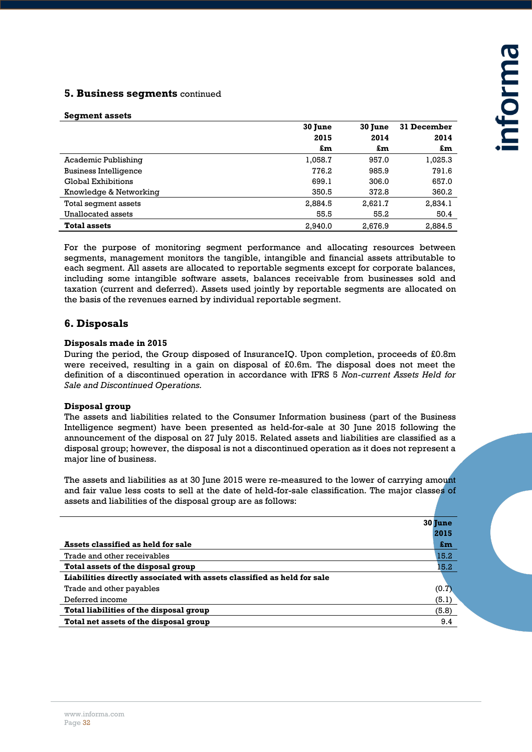#### **5. Business segments** continued

#### **Segment assets**

|                              | 30 June | 30 June | 31 December |
|------------------------------|---------|---------|-------------|
|                              | 2015    | 2014    | 2014        |
|                              | £m      | £m      | £m          |
| Academic Publishing          | 1,058.7 | 957.0   | 1,025.3     |
| <b>Business Intelligence</b> | 776.2   | 985.9   | 791.6       |
| Global Exhibitions           | 699.1   | 306.0   | 657.0       |
| Knowledge & Networking       | 350.5   | 372.8   | 360.2       |
| Total segment assets         | 2,884.5 | 2,621.7 | 2,834.1     |
| Unallocated assets           | 55.5    | 55.2    | 50.4        |
| <b>Total assets</b>          | 2.940.0 | 2.676.9 | 2.884.5     |

For the purpose of monitoring segment performance and allocating resources between segments, management monitors the tangible, intangible and financial assets attributable to each segment. All assets are allocated to reportable segments except for corporate balances, including some intangible software assets, balances receivable from businesses sold and taxation (current and deferred). Assets used jointly by reportable segments are allocated on the basis of the revenues earned by individual reportable segment.

#### **6. Disposals**

#### **Disposals made in 2015**

During the period, the Group disposed of InsuranceIQ. Upon completion, proceeds of £0.8m were received, resulting in a gain on disposal of £0.6m. The disposal does not meet the definition of a discontinued operation in accordance with IFRS 5 *Non-current Assets Held for Sale and Discontinued Operations.*

#### **Disposal group**

The assets and liabilities related to the Consumer Information business (part of the Business Intelligence segment) have been presented as held-for-sale at 30 June 2015 following the announcement of the disposal on 27 July 2015. Related assets and liabilities are classified as a disposal group; however, the disposal is not a discontinued operation as it does not represent a major line of business.

The assets and liabilities as at 30 June 2015 were re-measured to the lower of carrying amount and fair value less costs to sell at the date of held-for-sale classification. The major classes of assets and liabilities of the disposal group are as follows:

|                                                                         | 30 June                   |
|-------------------------------------------------------------------------|---------------------------|
|                                                                         | 2015                      |
| Assets classified as held for sale                                      | $\mathbf{f}_{\mathbf{m}}$ |
| Trade and other receivables                                             | 15.2                      |
| Total assets of the disposal group                                      | 15.2                      |
| Liabilities directly associated with assets classified as held for sale |                           |
| Trade and other payables                                                | (0.7)                     |
| Deferred income                                                         | (5.1)                     |
| Total liabilities of the disposal group                                 | (5.8)                     |
| Total net assets of the disposal group                                  | 9.4                       |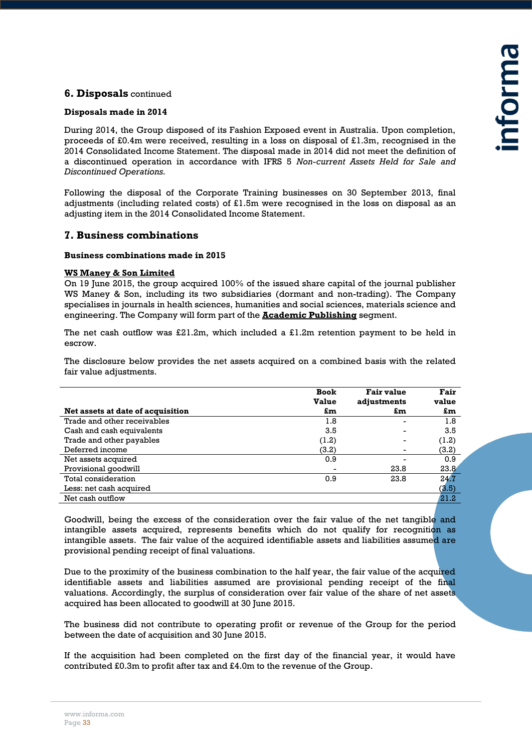#### **6. Disposals** continued

#### **Disposals made in 2014**

During 2014, the Group disposed of its Fashion Exposed event in Australia. Upon completion, proceeds of £0.4m were received, resulting in a loss on disposal of £1.3m, recognised in the 2014 Consolidated Income Statement. The disposal made in 2014 did not meet the definition of a discontinued operation in accordance with IFRS 5 *Non-current Assets Held for Sale and Discontinued Operations.*

Following the disposal of the Corporate Training businesses on 30 September 2013, final adjustments (including related costs) of £1.5m were recognised in the loss on disposal as an adjusting item in the 2014 Consolidated Income Statement.

#### **7. Business combinations**

#### **Business combinations made in 2015**

#### **WS Maney & Son Limited**

On 19 June 2015, the group acquired 100% of the issued share capital of the journal publisher WS Maney & Son, including its two subsidiaries (dormant and non-trading). The Company specialises in journals in health sciences, humanities and social sciences, materials science and engineering. The Company will form part of the **Academic Publishing** segment.

The net cash outflow was £21.2m, which included a £1.2m retention payment to be held in escrow.

The disclosure below provides the net assets acquired on a combined basis with the related fair value adjustments.

|                                   | <b>Book</b><br><b>Value</b> | <b>Fair value</b><br>adjustments | Fair<br>value |
|-----------------------------------|-----------------------------|----------------------------------|---------------|
| Net assets at date of acquisition | £m                          | £m                               | £m            |
| Trade and other receivables       | 1.8                         |                                  | 1.8           |
| Cash and cash equivalents         | 3.5                         |                                  | 3.5           |
| Trade and other payables          | (1.2)                       |                                  | (1.2)         |
| Deferred income                   | (3.2)                       |                                  | (3.2)         |
| Net assets acquired               | 0.9                         |                                  | 0.9           |
| Provisional goodwill              |                             | 23.8                             | 23.8          |
| Total consideration               | 0.9                         | 23.8                             | 24.7          |
| Less: net cash acquired           |                             |                                  | (3.5)         |
| Net cash outflow                  |                             |                                  | 21.2          |

Goodwill, being the excess of the consideration over the fair value of the net tangible and intangible assets acquired, represents benefits which do not qualify for recognition as intangible assets. The fair value of the acquired identifiable assets and liabilities assumed are provisional pending receipt of final valuations.

Due to the proximity of the business combination to the half year, the fair value of the acquired identifiable assets and liabilities assumed are provisional pending receipt of the final valuations. Accordingly, the surplus of consideration over fair value of the share of net assets acquired has been allocated to goodwill at 30 June 2015.

The business did not contribute to operating profit or revenue of the Group for the period between the date of acquisition and 30 June 2015.

If the acquisition had been completed on the first day of the financial year, it would have contributed £0.3m to profit after tax and £4.0m to the revenue of the Group.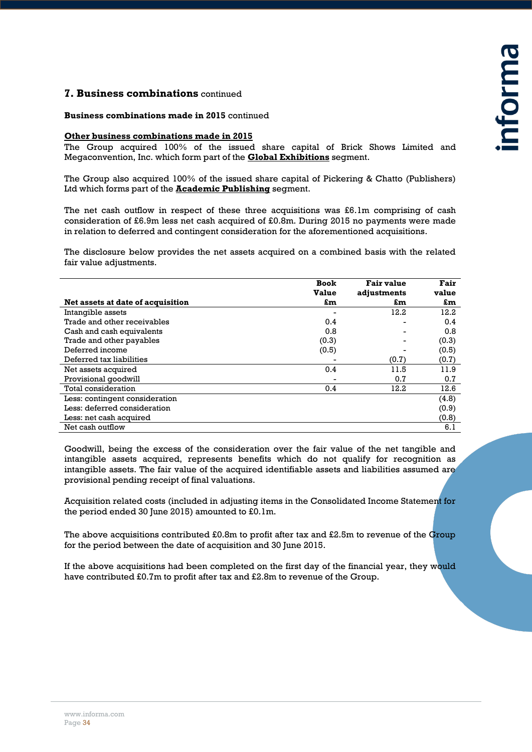#### **7. Business combinations** continued

#### **Business combinations made in 2015** continued

#### **Other business combinations made in 2015**

The Group acquired 100% of the issued share capital of Brick Shows Limited and Megaconvention, Inc. which form part of the **Global Exhibitions** segment.

The Group also acquired 100% of the issued share capital of Pickering & Chatto (Publishers) Ltd which forms part of the **Academic Publishing** segment.

The net cash outflow in respect of these three acquisitions was £6.1m comprising of cash consideration of £6.9m less net cash acquired of £0.8m. During 2015 no payments were made in relation to deferred and contingent consideration for the aforementioned acquisitions.

The disclosure below provides the net assets acquired on a combined basis with the related fair value adjustments.

|                                   | <b>Book</b><br>Value | Fair value<br>adjustments | Fair<br>value |
|-----------------------------------|----------------------|---------------------------|---------------|
| Net assets at date of acquisition | £m                   | £m                        | £m            |
| Intangible assets                 |                      | 12.2                      | 12.2          |
| Trade and other receivables       | 0.4                  |                           | 0.4           |
| Cash and cash equivalents         | 0.8                  |                           | 0.8           |
| Trade and other payables          | (0.3)                |                           | (0.3)         |
| Deferred income                   | (0.5)                |                           | (0.5)         |
| Deferred tax liabilities          |                      | (0.7)                     | (0.7)         |
| Net assets acquired               | 0.4                  | 11.5                      | 11.9          |
| Provisional goodwill              |                      | 0.7                       | 0.7           |
| Total consideration               | 0.4                  | 12.2                      | 12.6          |
| Less: contingent consideration    |                      |                           | (4.8)         |
| Less: deferred consideration      |                      |                           | (0.9)         |
| Less: net cash acquired           |                      |                           | (0.8)         |
| Net cash outflow                  |                      |                           | 6.1           |

Goodwill, being the excess of the consideration over the fair value of the net tangible and intangible assets acquired, represents benefits which do not qualify for recognition as intangible assets. The fair value of the acquired identifiable assets and liabilities assumed are provisional pending receipt of final valuations.

Acquisition related costs (included in adjusting items in the Consolidated Income Statement for the period ended 30 June 2015) amounted to £0.1m.

The above acquisitions contributed £0.8m to profit after tax and £2.5m to revenue of the Group for the period between the date of acquisition and 30 June 2015.

If the above acquisitions had been completed on the first day of the financial year, they would have contributed £0.7m to profit after tax and £2.8m to revenue of the Group.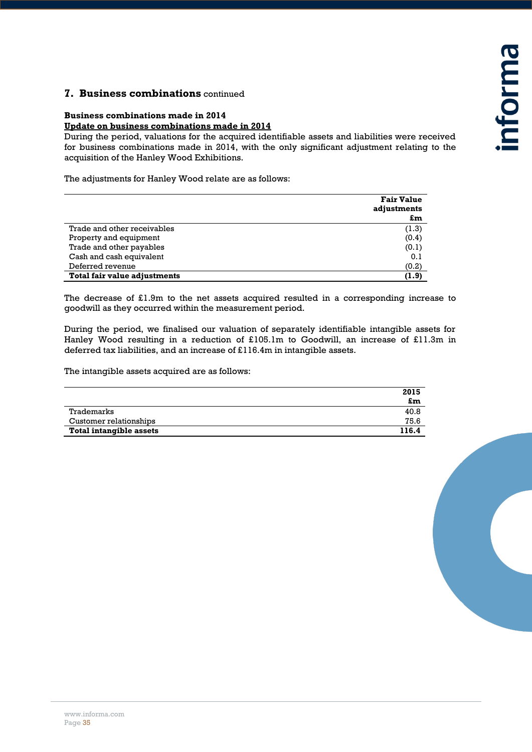#### **7. Business combinations** continued

#### **Business combinations made in 2014**

#### **Update on business combinations made in 2014**

During the period, valuations for the acquired identifiable assets and liabilities were received for business combinations made in 2014, with the only significant adjustment relating to the acquisition of the Hanley Wood Exhibitions.

The adjustments for Hanley Wood relate are as follows:

|                              | <b>Fair Value</b><br>adjustments<br>£m |
|------------------------------|----------------------------------------|
| Trade and other receivables  | (1.3)                                  |
| Property and equipment       | (0.4)                                  |
| Trade and other payables     | (0.1)                                  |
| Cash and cash equivalent     | 0.1                                    |
| Deferred revenue             | (0.2)                                  |
| Total fair value adjustments | (1.9)                                  |

The decrease of  $£1.9m$  to the net assets acquired resulted in a corresponding increase to goodwill as they occurred within the measurement period.

During the period, we finalised our valuation of separately identifiable intangible assets for Hanley Wood resulting in a reduction of £105.1m to Goodwill, an increase of £11.3m in deferred tax liabilities, and an increase of £116.4m in intangible assets.

The intangible assets acquired are as follows:

|                         | 2015  |
|-------------------------|-------|
|                         | £m    |
| Trademarks              | 40.8  |
| Customer relationships  | 75.6  |
| Total intangible assets | 116.4 |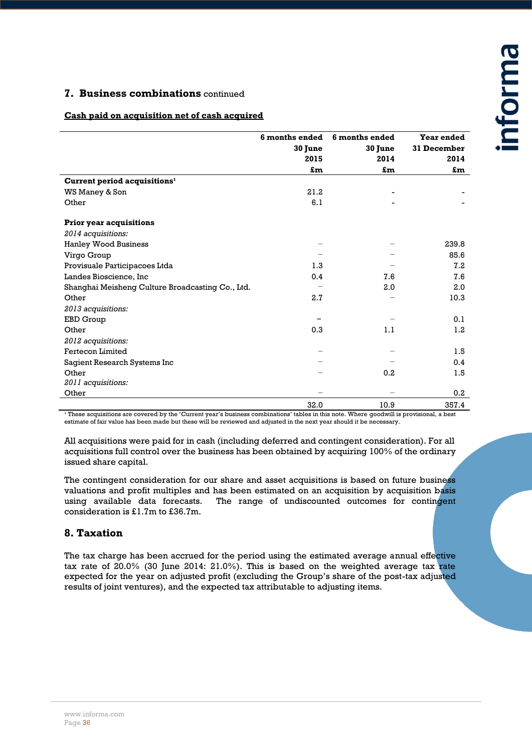#### **7. Business combinations** continued

#### **Cash paid on acquisition net of cash acquired**

|                                                  | 6 months ended | 6 months ended | Year ended  |
|--------------------------------------------------|----------------|----------------|-------------|
|                                                  | 30 June        | 30 June        | 31 December |
|                                                  | 2015           | 2014           | 2014        |
|                                                  | £m             | £m             | £m          |
| Current period acquisitions <sup>1</sup>         |                |                |             |
| WS Maney & Son                                   | 21.2           |                |             |
| Other                                            | 6.1            |                |             |
| <b>Prior year acquisitions</b>                   |                |                |             |
| 2014 acquisitions:                               |                |                |             |
| <b>Hanley Wood Business</b>                      |                |                | 239.8       |
| Virgo Group                                      |                |                | 85.6        |
| Provisuale Participacoes Ltda                    | 1.3            |                | 7.2         |
| Landes Bioscience, Inc                           | 0.4            | 7.6            | 7.6         |
| Shanghai Meisheng Culture Broadcasting Co., Ltd. |                | 2.0            | 2.0         |
| Other                                            | 2.7            |                | 10.3        |
| 2013 acquisitions:                               |                |                |             |
| EBD Group                                        |                |                | 0.1         |
| Other                                            | 0.3            | 1.1            | 1.2         |
| 2012 acquisitions:                               |                |                |             |
| Fertecon Limited                                 |                |                | 1.5         |
| Sagient Research Systems Inc                     |                |                | 0.4         |
| Other                                            |                | 0.2            | 1.5         |
| 2011 acquisitions:                               |                |                |             |
| Other                                            |                |                | 0.2         |
|                                                  | 32.0           | 10.9           | 357.4       |

<sup>1</sup> These acquisitions are covered by the 'Current year's business combinations' tables in this note. Where goodwill is provisional, a best estimate of fair value has been made but these will be reviewed and adjusted in the next year should it be necessary.

All acquisitions were paid for in cash (including deferred and contingent consideration). For all acquisitions full control over the business has been obtained by acquiring 100% of the ordinary issued share capital.

The contingent consideration for our share and asset acquisitions is based on future business valuations and profit multiples and has been estimated on an acquisition by acquisition basis using available data forecasts. The range of undiscounted outcomes for contingent consideration is £1.7m to £36.7m.

#### **8. Taxation**

The tax charge has been accrued for the period using the estimated average annual effective tax rate of 20.0% (30 June 2014: 21.0%). This is based on the weighted average tax rate expected for the year on adjusted profit (excluding the Group's share of the post-tax adjusted results of joint ventures), and the expected tax attributable to adjusting items.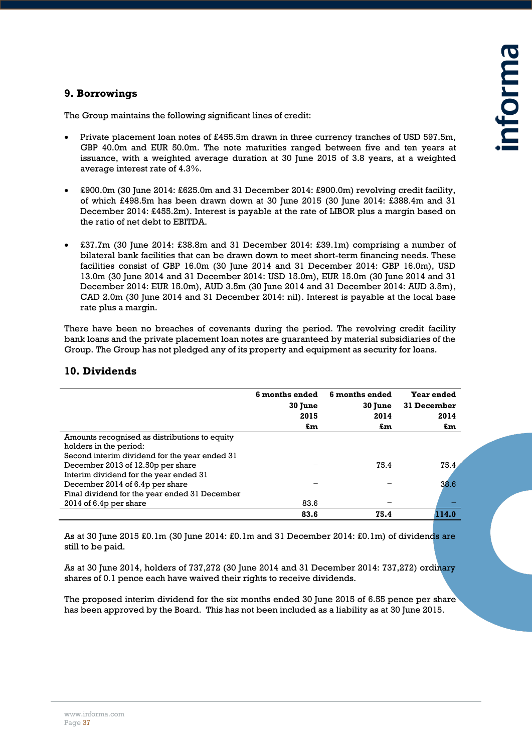#### **9. Borrowings**

The Group maintains the following significant lines of credit:

- Private placement loan notes of £455.5m drawn in three currency tranches of USD 597.5m, GBP 40.0m and EUR 50.0m. The note maturities ranged between five and ten years at issuance, with a weighted average duration at 30 June 2015 of 3.8 years, at a weighted average interest rate of 4.3%.
- £900.0m (30 June 2014: £625.0m and 31 December 2014: £900.0m) revolving credit facility, of which £498.5m has been drawn down at 30 June 2015 (30 June 2014: £388.4m and 31 December 2014: £455.2m). Interest is payable at the rate of LIBOR plus a margin based on the ratio of net debt to EBITDA.
- £37.7m (30 June 2014: £38.8m and 31 December 2014: £39.1m) comprising a number of bilateral bank facilities that can be drawn down to meet short-term financing needs. These facilities consist of GBP 16.0m (30 June 2014 and 31 December 2014: GBP 16.0m), USD 13.0m (30 June 2014 and 31 December 2014: USD 15.0m), EUR 15.0m (30 June 2014 and 31 December 2014: EUR 15.0m), AUD 3.5m (30 June 2014 and 31 December 2014: AUD 3.5m), CAD 2.0m (30 June 2014 and 31 December 2014: nil). Interest is payable at the local base rate plus a margin.

There have been no breaches of covenants during the period. The revolving credit facility bank loans and the private placement loan notes are guaranteed by material subsidiaries of the Group. The Group has not pledged any of its property and equipment as security for loans.

#### **10. Dividends**

|                                               | 6 months ended<br>30 June | 6 months ended<br>30 June | Year ended<br>31 December |
|-----------------------------------------------|---------------------------|---------------------------|---------------------------|
|                                               | 2015                      | 2014                      | 2014                      |
|                                               | £m                        | £m                        | £m                        |
| Amounts recognised as distributions to equity |                           |                           |                           |
| holders in the period:                        |                           |                           |                           |
| Second interim dividend for the year ended 31 |                           |                           |                           |
| December 2013 of 12.50p per share             |                           | 75.4                      | 75.4                      |
| Interim dividend for the year ended 31        |                           |                           |                           |
| December 2014 of 6.4p per share               |                           |                           | 38.6                      |
| Final dividend for the year ended 31 December |                           |                           |                           |
| $2014$ of 6.4p per share                      | 83.6                      |                           |                           |
|                                               | 83.6                      | 75.4                      | 114.0                     |

As at 30 June 2015 £0.1m (30 June 2014: £0.1m and 31 December 2014: £0.1m) of dividends are still to be paid.

As at 30 June 2014, holders of 737,272 (30 June 2014 and 31 December 2014: 737,272) ordinary shares of 0.1 pence each have waived their rights to receive dividends.

The proposed interim dividend for the six months ended 30 June 2015 of 6.55 pence per share has been approved by the Board. This has not been included as a liability as at 30 June 2015.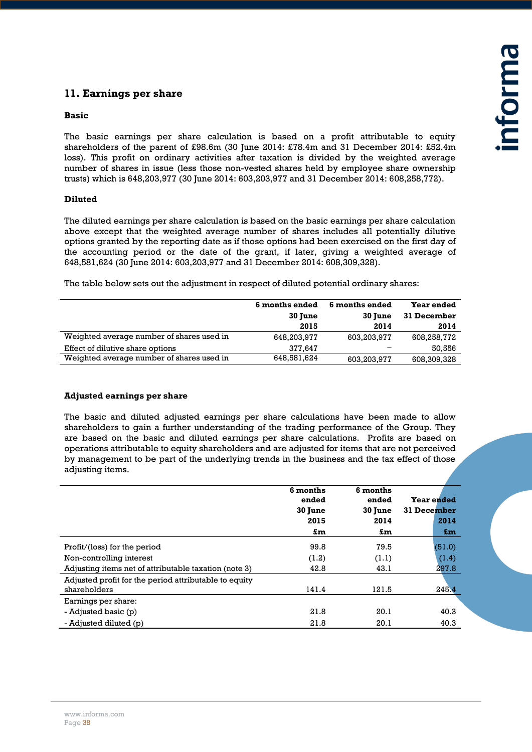# **11. Earnings per share**

#### **Basic**

The basic earnings per share calculation is based on a profit attributable to equity shareholders of the parent of £98.6m (30 June 2014: £78.4m and 31 December 2014: £52.4m loss). This profit on ordinary activities after taxation is divided by the weighted average number of shares in issue (less those non-vested shares held by employee share ownership trusts) which is 648,203,977 (30 June 2014: 603,203,977 and 31 December 2014: 608,258,772).

#### **Diluted**

The diluted earnings per share calculation is based on the basic earnings per share calculation above except that the weighted average number of shares includes all potentially dilutive options granted by the reporting date as if those options had been exercised on the first day of the accounting period or the date of the grant, if later, giving a weighted average of 648,581,624 (30 June 2014: 603,203,977 and 31 December 2014: 608,309,328).

The table below sets out the adjustment in respect of diluted potential ordinary shares:

|                                           | 6 months ended<br>30 June<br>2015 | 6 months ended<br>30 June<br>2014 | Year ended<br>31 December<br>2014 |
|-------------------------------------------|-----------------------------------|-----------------------------------|-----------------------------------|
| Weighted average number of shares used in | 648,203,977                       | 603,203,977                       | 608,258,772                       |
| Effect of dilutive share options          | 377.647                           |                                   | 50,556                            |
| Weighted average number of shares used in | 648,581,624                       | 603,203,977                       | 608,309,328                       |
|                                           |                                   |                                   |                                   |

#### **Adjusted earnings per share**

The basic and diluted adjusted earnings per share calculations have been made to allow shareholders to gain a further understanding of the trading performance of the Group. They are based on the basic and diluted earnings per share calculations. Profits are based on operations attributable to equity shareholders and are adjusted for items that are not perceived by management to be part of the underlying trends in the business and the tax effect of those adjusting items.

|                                                       | 6 months<br>ended<br>30 June | 6 months<br>ended<br>30 June | Year ended<br>31 December |
|-------------------------------------------------------|------------------------------|------------------------------|---------------------------|
|                                                       | 2015                         | 2014                         | 2014                      |
|                                                       | £m                           | £m                           | £m                        |
| Profit/(loss) for the period                          | 99.8                         | 79.5                         | (51.0)                    |
| Non-controlling interest                              | (1.2)                        | (1.1)                        | (1.4)                     |
| Adjusting items net of attributable taxation (note 3) | 42.8                         | 43.1                         | 297.8                     |
| Adjusted profit for the period attributable to equity |                              |                              |                           |
| shareholders                                          | 141.4                        | 121.5                        | 245.4                     |
| Earnings per share:                                   |                              |                              |                           |
| - Adjusted basic (p)                                  | 21.8                         | 20.1                         | 40.3                      |
| - Adjusted diluted (p)                                | 21.8                         | 20.1                         | 40.3                      |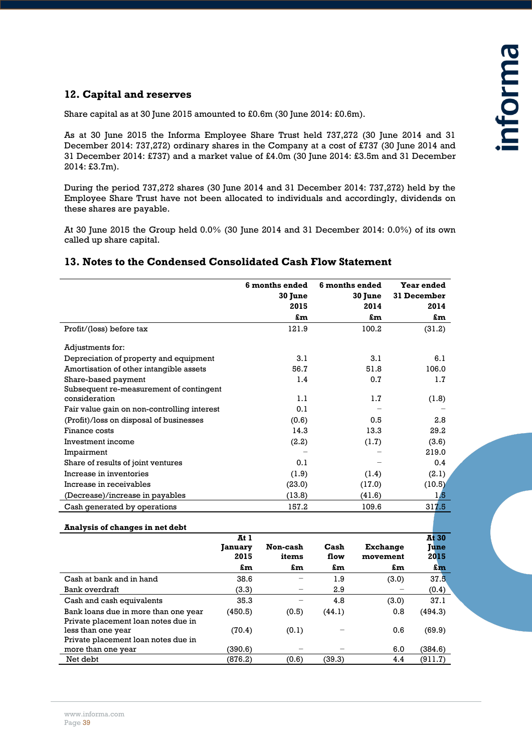#### **12. Capital and reserves**

Share capital as at 30 June 2015 amounted to £0.6m (30 June 2014: £0.6m).

As at 30 June 2015 the Informa Employee Share Trust held 737,272 (30 June 2014 and 31 December 2014: 737,272) ordinary shares in the Company at a cost of £737 (30 June 2014 and 31 December 2014: £737) and a market value of £4.0m (30 June 2014: £3.5m and 31 December 2014: £3.7m).

During the period 737,272 shares (30 June 2014 and 31 December 2014: 737,272) held by the Employee Share Trust have not been allocated to individuals and accordingly, dividends on these shares are payable.

At 30 June 2015 the Group held 0.0% (30 June 2014 and 31 December 2014: 0.0%) of its own called up share capital.

#### **13. Notes to the Condensed Consolidated Cash Flow Statement**

|                                                          | 6 months ended<br>30 June<br>2015<br>£m | 6 months ended<br><b>30 June</b><br>2014<br>£m | Year ended<br>31 December<br>2014<br>£m |
|----------------------------------------------------------|-----------------------------------------|------------------------------------------------|-----------------------------------------|
| Profit/(loss) before tax                                 | 121.9                                   | 100.2                                          | (31.2)                                  |
| Adjustments for:                                         |                                         |                                                |                                         |
| Depreciation of property and equipment                   | 3.1                                     | 3.1                                            | 6.1                                     |
| Amortisation of other intangible assets                  | 56.7                                    | 51.8                                           | 106.0                                   |
| Share-based payment                                      | 1.4                                     | 0.7                                            | 1.7                                     |
| Subsequent re-measurement of contingent<br>consideration | 1.1                                     | 1.7                                            | (1.8)                                   |
| Fair value gain on non-controlling interest              | 0.1                                     |                                                |                                         |
| (Profit)/loss on disposal of businesses                  | (0.6)                                   | 0.5                                            | 2.8                                     |
| Finance costs                                            | 14.3                                    | 13.3                                           | 29.2                                    |
| Investment income                                        | (2.2)                                   | (1.7)                                          | (3.6)                                   |
| Impairment                                               |                                         |                                                | 219.0                                   |
| Share of results of joint ventures                       | 0.1                                     |                                                | 0.4                                     |
| Increase in inventories                                  | (1.9)                                   | (1.4)                                          | (2.1)                                   |
| Increase in receivables                                  | (23.0)                                  | (17.0)                                         | (10.5)                                  |
| (Decrease)/increase in payables                          | (13.8)                                  | (41.6)                                         | 1,5                                     |
| Cash generated by operations                             | 157.2                                   | 109.6                                          | 317.5                                   |
|                                                          |                                         |                                                |                                         |

#### **Analysis of changes in net debt At 1 January 2015 Non-cash items Cash flow Exchange movement At 30 June 2015 £m £m £m £m £m** Cash at bank and in hand  $\begin{array}{ccc} 38.6 & - & 1.9 & (3.0) & 37.5 \end{array}$ Bank overdraft (3.3)  $-$  2.9  $-$  (0.4) Cash and cash equivalents  $35.3 - 4.8$  (3.0)  $37.1$ Bank loans due in more than one year  $(450.5)$   $(0.5)$   $(44.1)$  0.8  $(494.3)$ Private placement loan notes due in less than one year (70.4) (0.1) − 0.6 (69.9) Private placement loan notes due in more than one year  $(390.6)$  − − 6.0 (384.6) Net debt (876.2) (0.6) (39.3) 4.4 (911.7)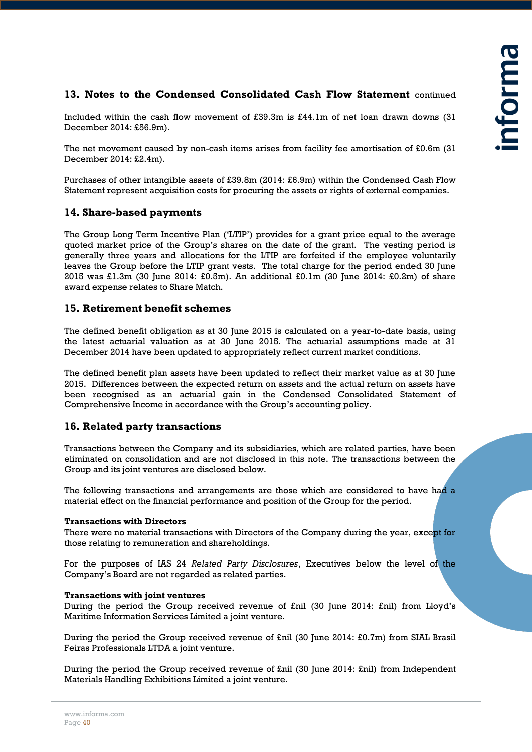#### **13. Notes to the Condensed Consolidated Cash Flow Statement** continued

Included within the cash flow movement of £39.3m is £44.1m of net loan drawn downs (31 December 2014: £56.9m).

The net movement caused by non-cash items arises from facility fee amortisation of £0.6m (31 December 2014: £2.4m).

Purchases of other intangible assets of £39.8m (2014: £6.9m) within the Condensed Cash Flow Statement represent acquisition costs for procuring the assets or rights of external companies.

#### **14. Share-based payments**

The Group Long Term Incentive Plan ('LTIP') provides for a grant price equal to the average quoted market price of the Group's shares on the date of the grant. The vesting period is generally three years and allocations for the LTIP are forfeited if the employee voluntarily leaves the Group before the LTIP grant vests. The total charge for the period ended 30 June 2015 was £1.3m (30 June 2014: £0.5m). An additional £0.1m (30 June 2014: £0.2m) of share award expense relates to Share Match.

#### **15. Retirement benefit schemes**

The defined benefit obligation as at 30 June 2015 is calculated on a year-to-date basis, using the latest actuarial valuation as at 30 June 2015. The actuarial assumptions made at 31 December 2014 have been updated to appropriately reflect current market conditions.

The defined benefit plan assets have been updated to reflect their market value as at 30 June 2015. Differences between the expected return on assets and the actual return on assets have been recognised as an actuarial gain in the Condensed Consolidated Statement of Comprehensive Income in accordance with the Group's accounting policy.

#### **16. Related party transactions**

Transactions between the Company and its subsidiaries, which are related parties, have been eliminated on consolidation and are not disclosed in this note. The transactions between the Group and its joint ventures are disclosed below.

The following transactions and arrangements are those which are considered to have had a material effect on the financial performance and position of the Group for the period.

#### **Transactions with Directors**

There were no material transactions with Directors of the Company during the year, except for those relating to remuneration and shareholdings.

For the purposes of IAS 24 *Related Party Disclosures*, Executives below the level of the Company's Board are not regarded as related parties.

#### **Transactions with joint ventures**

During the period the Group received revenue of £nil (30 June 2014: £nil) from Lloyd's Maritime Information Services Limited a joint venture.

During the period the Group received revenue of £nil (30 June 2014: £0.7m) from SIAL Brasil Feiras Professionals LTDA a joint venture.

During the period the Group received revenue of £nil (30 June 2014: £nil) from Independent Materials Handling Exhibitions Limited a joint venture.